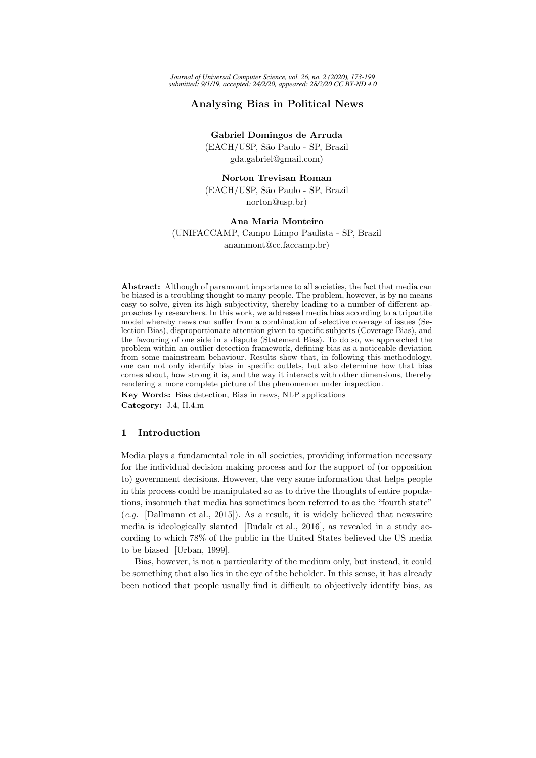# Analysing Bias in Political News

Gabriel Domingos de Arruda (EACH/USP, S˜ao Paulo - SP, Brazil gda.gabriel@gmail.com)

Norton Trevisan Roman (EACH/USP, S˜ao Paulo - SP, Brazil norton@usp.br)

# Ana Maria Monteiro (UNIFACCAMP, Campo Limpo Paulista - SP, Brazil anammont@cc.faccamp.br)

Abstract: Although of paramount importance to all societies, the fact that media can be biased is a troubling thought to many people. The problem, however, is by no means easy to solve, given its high subjectivity, thereby leading to a number of different approaches by researchers. In this work, we addressed media bias according to a tripartite model whereby news can suffer from a combination of selective coverage of issues (Selection Bias), disproportionate attention given to specific subjects (Coverage Bias), and the favouring of one side in a dispute (Statement Bias). To do so, we approached the problem within an outlier detection framework, defining bias as a noticeable deviation from some mainstream behaviour. Results show that, in following this methodology, one can not only identify bias in specific outlets, but also determine how that bias comes about, how strong it is, and the way it interacts with other dimensions, thereby rendering a more complete picture of the phenomenon under inspection. Key Words: Bias detection, Bias in news, NLP applications

Category: J.4, H.4.m

## 1 Introduction

Media plays a fundamental role in all societies, providing information necessary for the individual decision making process and for the support of (or opposition to) government decisions. However, the very same information that helps people in this process could be manipulated so as to drive the thoughts of entire populations, insomuch that media has sometimes been referred to as the "fourth state"  $(e.g.$  [Dallmann et al., 2015]). As a result, it is widely believed that newswire media is ideologically slanted [Budak et al., 2016], as revealed in a study according to which 78% of the public in the United States believed the US media to be biased [Urban, 1999].

Bias, however, is not a particularity of the medium only, but instead, it could be something that also lies in the eye of the beholder. In this sense, it has already been noticed that people usually find it difficult to objectively identify bias, as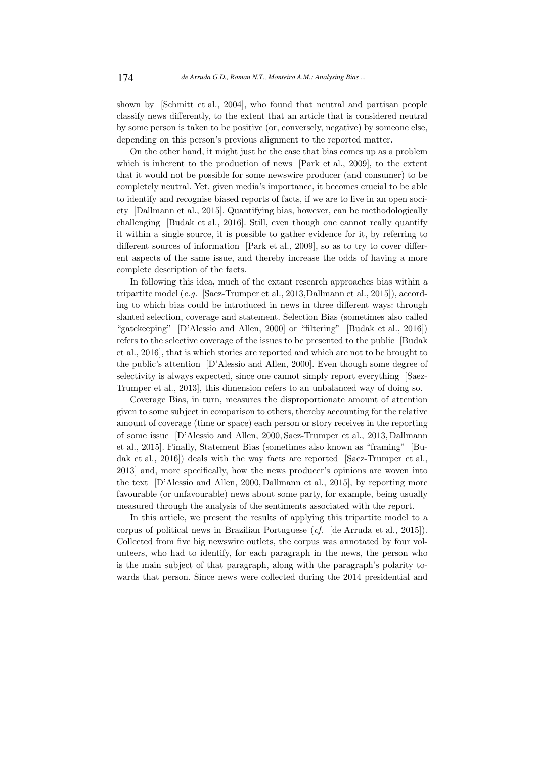shown by [Schmitt et al., 2004], who found that neutral and partisan people classify news differently, to the extent that an article that is considered neutral by some person is taken to be positive (or, conversely, negative) by someone else, depending on this person's previous alignment to the reported matter.

On the other hand, it might just be the case that bias comes up as a problem which is inherent to the production of news [Park et al., 2009], to the extent that it would not be possible for some newswire producer (and consumer) to be completely neutral. Yet, given media's importance, it becomes crucial to be able to identify and recognise biased reports of facts, if we are to live in an open society [Dallmann et al., 2015]. Quantifying bias, however, can be methodologically challenging [Budak et al., 2016]. Still, even though one cannot really quantify it within a single source, it is possible to gather evidence for it, by referring to different sources of information [Park et al., 2009], so as to try to cover different aspects of the same issue, and thereby increase the odds of having a more complete description of the facts.

In following this idea, much of the extant research approaches bias within a tripartite model (e.g. [Saez-Trumper et al., 2013,Dallmann et al., 2015]), according to which bias could be introduced in news in three different ways: through slanted selection, coverage and statement. Selection Bias (sometimes also called "gatekeeping" [D'Alessio and Allen, 2000] or "filtering" [Budak et al., 2016]) refers to the selective coverage of the issues to be presented to the public [Budak et al., 2016], that is which stories are reported and which are not to be brought to the public's attention [D'Alessio and Allen, 2000]. Even though some degree of selectivity is always expected, since one cannot simply report everything [Saez-Trumper et al., 2013], this dimension refers to an unbalanced way of doing so.

Coverage Bias, in turn, measures the disproportionate amount of attention given to some subject in comparison to others, thereby accounting for the relative amount of coverage (time or space) each person or story receives in the reporting of some issue [D'Alessio and Allen, 2000, Saez-Trumper et al., 2013, Dallmann et al., 2015]. Finally, Statement Bias (sometimes also known as "framing" [Budak et al., 2016]) deals with the way facts are reported [Saez-Trumper et al., 2013] and, more specifically, how the news producer's opinions are woven into the text [D'Alessio and Allen, 2000, Dallmann et al., 2015], by reporting more favourable (or unfavourable) news about some party, for example, being usually measured through the analysis of the sentiments associated with the report.

In this article, we present the results of applying this tripartite model to a corpus of political news in Brazilian Portuguese (cf. [de Arruda et al., 2015]). Collected from five big newswire outlets, the corpus was annotated by four volunteers, who had to identify, for each paragraph in the news, the person who is the main subject of that paragraph, along with the paragraph's polarity towards that person. Since news were collected during the 2014 presidential and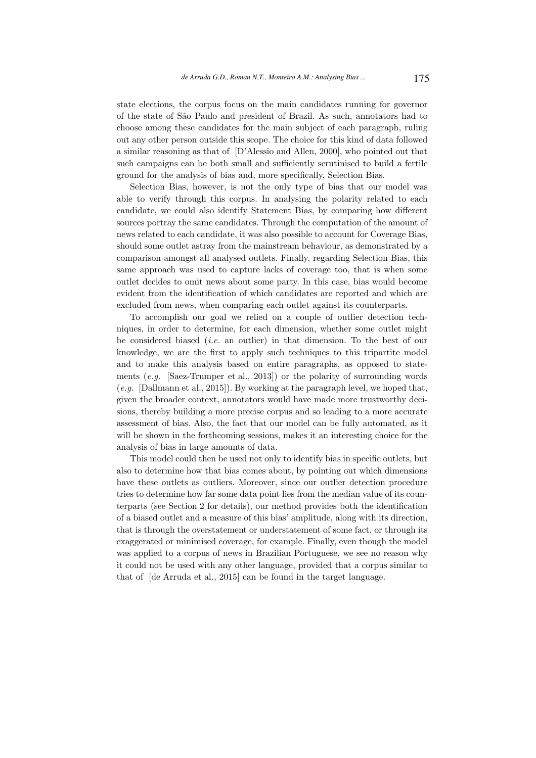state elections, the corpus focus on the main candidates running for governor of the state of S˜ao Paulo and president of Brazil. As such, annotators had to choose among these candidates for the main subject of each paragraph, ruling out any other person outside this scope. The choice for this kind of data followed a similar reasoning as that of [D'Alessio and Allen, 2000], who pointed out that such campaigns can be both small and sufficiently scrutinised to build a fertile ground for the analysis of bias and, more specifically, Selection Bias.

Selection Bias, however, is not the only type of bias that our model was able to verify through this corpus. In analysing the polarity related to each candidate, we could also identify Statement Bias, by comparing how different sources portray the same candidates. Through the computation of the amount of news related to each candidate, it was also possible to account for Coverage Bias, should some outlet astray from the mainstream behaviour, as demonstrated by a comparison amongst all analysed outlets. Finally, regarding Selection Bias, this same approach was used to capture lacks of coverage too, that is when some outlet decides to omit news about some party. In this case, bias would become evident from the identification of which candidates are reported and which are excluded from news, when comparing each outlet against its counterparts.

To accomplish our goal we relied on a couple of outlier detection techniques, in order to determine, for each dimension, whether some outlet might be considered biased (*i.e.* an outlier) in that dimension. To the best of our knowledge, we are the first to apply such techniques to this tripartite model and to make this analysis based on entire paragraphs, as opposed to statements  $(e,q.$  [Saez-Trumper et al., 2013]) or the polarity of surrounding words (e.g. [Dallmann et al., 2015]). By working at the paragraph level, we hoped that, given the broader context, annotators would have made more trustworthy decisions, thereby building a more precise corpus and so leading to a more accurate assessment of bias. Also, the fact that our model can be fully automated, as it will be shown in the forthcoming sessions, makes it an interesting choice for the analysis of bias in large amounts of data.

This model could then be used not only to identify bias in specific outlets, but also to determine how that bias comes about, by pointing out which dimensions have these outlets as outliers. Moreover, since our outlier detection procedure tries to determine how far some data point lies from the median value of its counterparts (see Section 2 for details), our method provides both the identification of a biased outlet and a measure of this bias' amplitude, along with its direction, that is through the overstatement or understatement of some fact, or through its exaggerated or minimised coverage, for example. Finally, even though the model was applied to a corpus of news in Brazilian Portuguese, we see no reason why it could not be used with any other language, provided that a corpus similar to that of [de Arruda et al., 2015] can be found in the target language.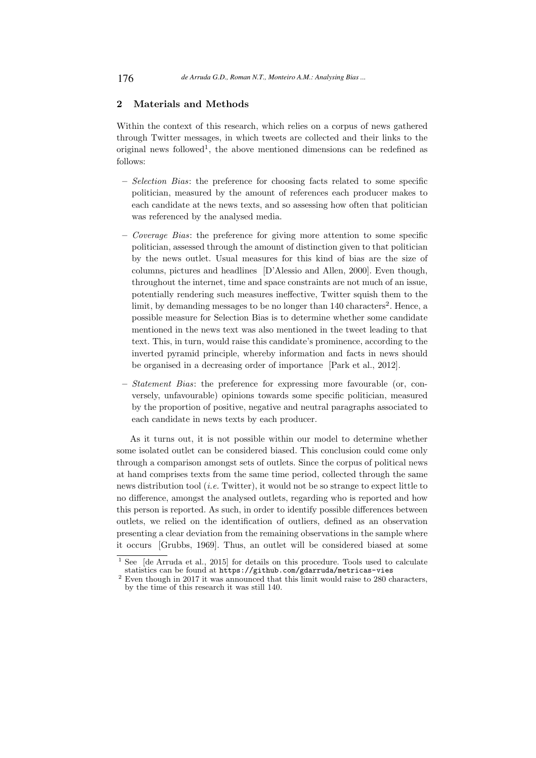## 2 Materials and Methods

Within the context of this research, which relies on a corpus of news gathered through Twitter messages, in which tweets are collected and their links to the original news followed<sup>1</sup>, the above mentioned dimensions can be redefined as follows:

- Selection Bias: the preference for choosing facts related to some specific politician, measured by the amount of references each producer makes to each candidate at the news texts, and so assessing how often that politician was referenced by the analysed media.
- Coverage Bias: the preference for giving more attention to some specific politician, assessed through the amount of distinction given to that politician by the news outlet. Usual measures for this kind of bias are the size of columns, pictures and headlines [D'Alessio and Allen, 2000]. Even though, throughout the internet, time and space constraints are not much of an issue, potentially rendering such measures ineffective, Twitter squish them to the limit, by demanding messages to be no longer than 140 characters<sup>2</sup>. Hence, a possible measure for Selection Bias is to determine whether some candidate mentioned in the news text was also mentioned in the tweet leading to that text. This, in turn, would raise this candidate's prominence, according to the inverted pyramid principle, whereby information and facts in news should be organised in a decreasing order of importance [Park et al., 2012].
- Statement Bias: the preference for expressing more favourable (or, conversely, unfavourable) opinions towards some specific politician, measured by the proportion of positive, negative and neutral paragraphs associated to each candidate in news texts by each producer.

As it turns out, it is not possible within our model to determine whether some isolated outlet can be considered biased. This conclusion could come only through a comparison amongst sets of outlets. Since the corpus of political news at hand comprises texts from the same time period, collected through the same news distribution tool (i.e. Twitter), it would not be so strange to expect little to no difference, amongst the analysed outlets, regarding who is reported and how this person is reported. As such, in order to identify possible differences between outlets, we relied on the identification of outliers, defined as an observation presenting a clear deviation from the remaining observations in the sample where it occurs [Grubbs, 1969]. Thus, an outlet will be considered biased at some

See [de Arruda et al., 2015] for details on this procedure. Tools used to calculate statistics can be found at https://github.com/gdarruda/metricas-vies

<sup>&</sup>lt;sup>2</sup> Even though in 2017 it was announced that this limit would raise to 280 characters, by the time of this research it was still 140.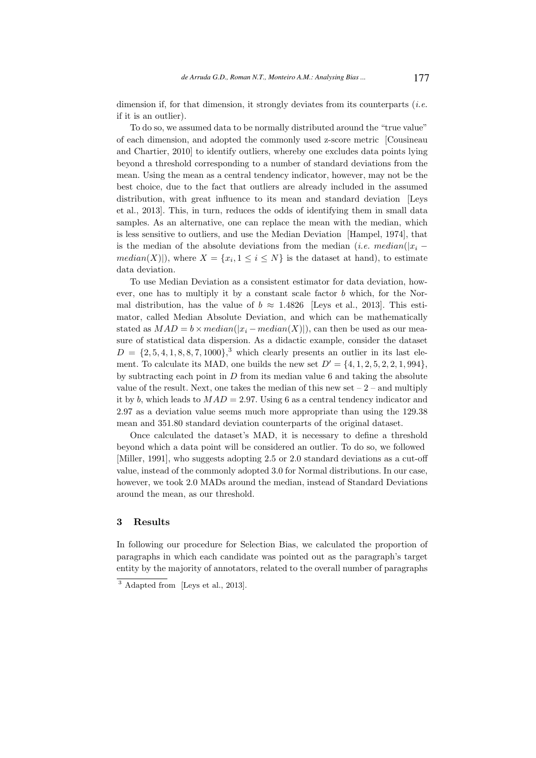dimension if, for that dimension, it strongly deviates from its counterparts (*i.e.* if it is an outlier).

To do so, we assumed data to be normally distributed around the "true value" of each dimension, and adopted the commonly used z-score metric [Cousineau and Chartier, 2010] to identify outliers, whereby one excludes data points lying beyond a threshold corresponding to a number of standard deviations from the mean. Using the mean as a central tendency indicator, however, may not be the best choice, due to the fact that outliers are already included in the assumed distribution, with great influence to its mean and standard deviation [Leys et al., 2013]. This, in turn, reduces the odds of identifying them in small data samples. As an alternative, one can replace the mean with the median, which is less sensitive to outliers, and use the Median Deviation [Hampel, 1974], that is the median of the absolute deviations from the median (*i.e. median*( $|x_i$  $median(X)|$ , where  $X = \{x_i, 1 \leq i \leq N\}$  is the dataset at hand), to estimate data deviation.

To use Median Deviation as a consistent estimator for data deviation, however, one has to multiply it by a constant scale factor  $b$  which, for the Normal distribution, has the value of  $b \approx 1.4826$  [Leys et al., 2013]. This estimator, called Median Absolute Deviation, and which can be mathematically stated as  $MAD = b \times median(|x_i - median(X)|)$ , can then be used as our measure of statistical data dispersion. As a didactic example, consider the dataset  $D = \{2, 5, 4, 1, 8, 8, 7, 1000\}$ ,<sup>3</sup> which clearly presents an outlier in its last element. To calculate its MAD, one builds the new set  $D' = \{4, 1, 2, 5, 2, 2, 1, 994\}$ , by subtracting each point in  $D$  from its median value 6 and taking the absolute value of the result. Next, one takes the median of this new set  $-2$  – and multiply it by b, which leads to  $MAD = 2.97$ . Using 6 as a central tendency indicator and 2.97 as a deviation value seems much more appropriate than using the 129.38 mean and 351.80 standard deviation counterparts of the original dataset.

Once calculated the dataset's MAD, it is necessary to define a threshold beyond which a data point will be considered an outlier. To do so, we followed [Miller, 1991], who suggests adopting 2.5 or 2.0 standard deviations as a cut-off value, instead of the commonly adopted 3.0 for Normal distributions. In our case, however, we took 2.0 MADs around the median, instead of Standard Deviations around the mean, as our threshold.

#### 3 Results

In following our procedure for Selection Bias, we calculated the proportion of paragraphs in which each candidate was pointed out as the paragraph's target entity by the majority of annotators, related to the overall number of paragraphs

<sup>3</sup> Adapted from [Leys et al., 2013].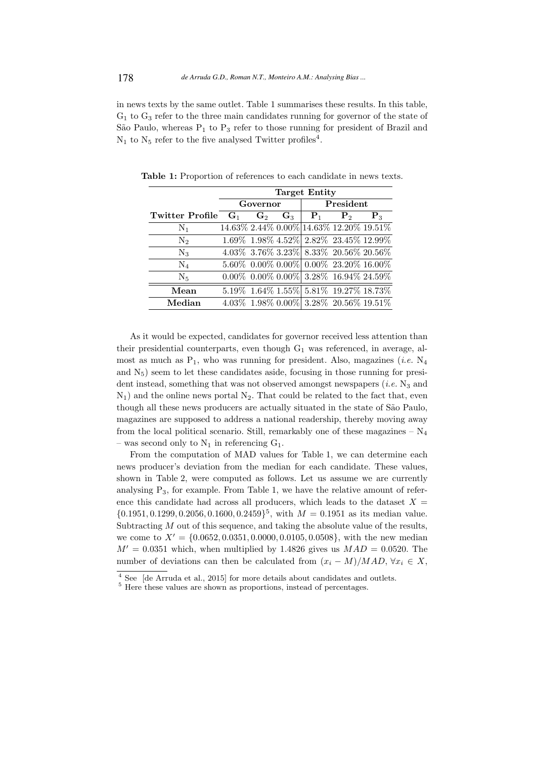in news texts by the same outlet. Table 1 summarises these results. In this table,  $G_1$  to  $G_3$  refer to the three main candidates running for governor of the state of São Paulo, whereas  $P_1$  to  $P_3$  refer to those running for president of Brazil and  $N_1$  to  $N_5$  refer to the five analysed Twitter profiles<sup>4</sup>.

| <b>Target Entity</b> |                |                |          |                |                                                                                                                                                                                                                                                                                                                                                   |  |  |  |
|----------------------|----------------|----------------|----------|----------------|---------------------------------------------------------------------------------------------------------------------------------------------------------------------------------------------------------------------------------------------------------------------------------------------------------------------------------------------------|--|--|--|
|                      |                |                |          |                |                                                                                                                                                                                                                                                                                                                                                   |  |  |  |
|                      | $\mathbf{G}_2$ | $G_3$          | $P_1$    | P <sub>2</sub> | $P_{3}$                                                                                                                                                                                                                                                                                                                                           |  |  |  |
|                      |                |                |          |                |                                                                                                                                                                                                                                                                                                                                                   |  |  |  |
|                      |                |                |          |                |                                                                                                                                                                                                                                                                                                                                                   |  |  |  |
|                      |                |                |          |                |                                                                                                                                                                                                                                                                                                                                                   |  |  |  |
|                      |                |                |          |                |                                                                                                                                                                                                                                                                                                                                                   |  |  |  |
|                      |                |                |          |                |                                                                                                                                                                                                                                                                                                                                                   |  |  |  |
|                      |                |                |          |                |                                                                                                                                                                                                                                                                                                                                                   |  |  |  |
|                      |                |                |          |                |                                                                                                                                                                                                                                                                                                                                                   |  |  |  |
|                      |                | $\mathbf{G}_1$ | Governor |                | President<br>14.63% 2.44% 0.00% 14.63% 12.20% 19.51%<br>$1.69\%$ $1.98\%$ $4.52\%$ $2.82\%$ $23.45\%$ $12.99\%$<br>$4.03\%$ 3.76% 3.23% 8.33% 20.56% 20.56%<br>$5.60\%$ 0.00% 0.00% 0.00% 23.20% 16.00%<br>$0.00\%$ $0.00\%$ $0.00\%$ 3.28% 16.94% 24.59%<br>5.19% 1.64% 1.55% 5.81% 19.27% 18.73%<br>$4.03\%$ 1.98% $0.00\%$ 3.28% 20.56% 19.51% |  |  |  |

Table 1: Proportion of references to each candidate in news texts.

As it would be expected, candidates for governor received less attention than their presidential counterparts, even though  $G_1$  was referenced, in average, almost as much as  $P_1$ , who was running for president. Also, magazines *(i.e.* N<sub>4</sub> and  $N_5$ ) seem to let these candidates aside, focusing in those running for president instead, something that was not observed amongst newspapers  $(i.e. N_3$  and  $N_1$ ) and the online news portal  $N_2$ . That could be related to the fact that, even though all these news producers are actually situated in the state of São Paulo, magazines are supposed to address a national readership, thereby moving away from the local political scenario. Still, remarkably one of these magazines  $- N_4$ – was second only to  $N_1$  in referencing  $G_1$ .

From the computation of MAD values for Table 1, we can determine each news producer's deviation from the median for each candidate. These values, shown in Table 2, were computed as follows. Let us assume we are currently analysing  $P_3$ , for example. From Table 1, we have the relative amount of reference this candidate had across all producers, which leads to the dataset  $X =$  ${0.1951, 0.1299, 0.2056, 0.1600, 0.2459}$ <sup>5</sup>, with  $M = 0.1951$  as its median value. Subtracting  $M$  out of this sequence, and taking the absolute value of the results, we come to  $X' = \{0.0652, 0.0351, 0.0000, 0.0105, 0.0508\}$ , with the new median  $M' = 0.0351$  which, when multiplied by 1.4826 gives us  $MAD = 0.0520$ . The number of deviations can then be calculated from  $(x_i - M)/MAD$ ,  $\forall x_i \in X$ ,

<sup>4</sup> See [de Arruda et al., 2015] for more details about candidates and outlets.

 $5$  Here these values are shown as proportions, instead of percentages.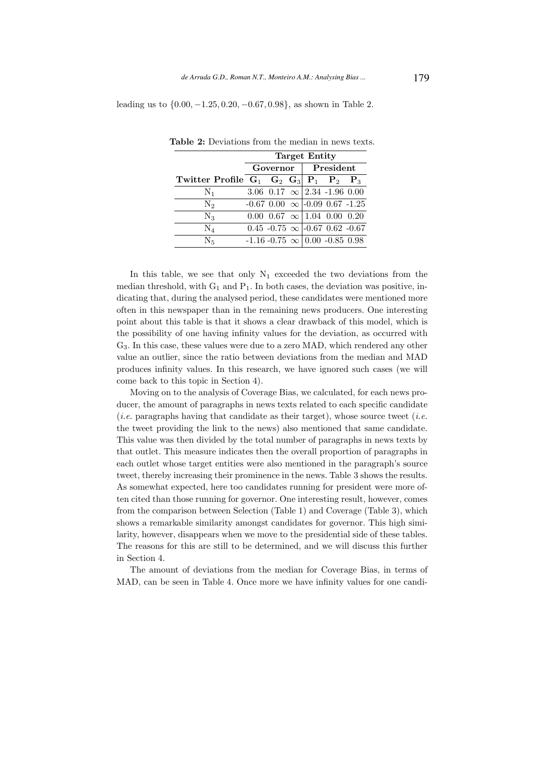leading us to {0.00, −1.25, 0.20, −0.67, 0.98}, as shown in Table 2.

|                                                     | <b>Target Entity</b> |          |  |           |                                              |  |  |
|-----------------------------------------------------|----------------------|----------|--|-----------|----------------------------------------------|--|--|
|                                                     |                      | Governor |  | President |                                              |  |  |
| Twitter Profile $G_1$ $G_2$ $G_3$ $P_1$ $P_2$ $P_3$ |                      |          |  |           |                                              |  |  |
| $N_1$                                               |                      |          |  |           | 3.06 0.17 $\infty$ 2.34 -1.96 0.00           |  |  |
| N <sub>2</sub>                                      |                      |          |  |           | $-0.67$ 0.00 $\infty$ $\sim$ 0.09 0.67 -1.25 |  |  |
| $\rm N_3$                                           |                      |          |  |           | $0.00 \t0.67 \t\infty \t1.04 \t0.00 \t0.20$  |  |  |
| $\rm N_4$                                           |                      |          |  |           | $0.45 -0.75 \infty$ -0.67 0.62 -0.67         |  |  |
| $\rm N_{5}$                                         |                      |          |  |           | $-1.16 - 0.75 \infty$ 0.00 $-0.85$ 0.98      |  |  |

Table 2: Deviations from the median in news texts.

In this table, we see that only  $N_1$  exceeded the two deviations from the median threshold, with  $G_1$  and  $P_1$ . In both cases, the deviation was positive, indicating that, during the analysed period, these candidates were mentioned more often in this newspaper than in the remaining news producers. One interesting point about this table is that it shows a clear drawback of this model, which is the possibility of one having infinity values for the deviation, as occurred with G3. In this case, these values were due to a zero MAD, which rendered any other value an outlier, since the ratio between deviations from the median and MAD produces infinity values. In this research, we have ignored such cases (we will come back to this topic in Section 4).

Moving on to the analysis of Coverage Bias, we calculated, for each news producer, the amount of paragraphs in news texts related to each specific candidate (*i.e.* paragraphs having that candidate as their target), whose source tweet (*i.e.* the tweet providing the link to the news) also mentioned that same candidate. This value was then divided by the total number of paragraphs in news texts by that outlet. This measure indicates then the overall proportion of paragraphs in each outlet whose target entities were also mentioned in the paragraph's source tweet, thereby increasing their prominence in the news. Table 3 shows the results. As somewhat expected, here too candidates running for president were more often cited than those running for governor. One interesting result, however, comes from the comparison between Selection (Table 1) and Coverage (Table 3), which shows a remarkable similarity amongst candidates for governor. This high similarity, however, disappears when we move to the presidential side of these tables. The reasons for this are still to be determined, and we will discuss this further in Section 4.

The amount of deviations from the median for Coverage Bias, in terms of MAD, can be seen in Table 4. Once more we have infinity values for one candi-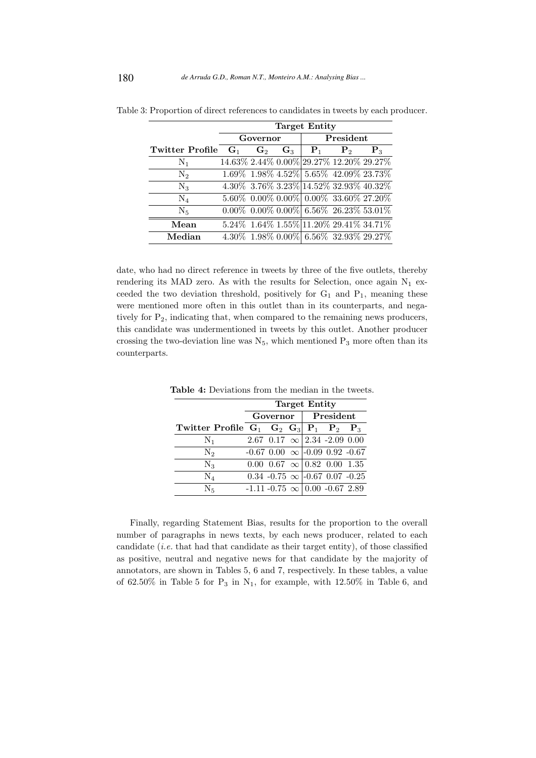|                        | <b>Target Entity</b> |                |       |                |                                                               |                  |  |  |  |
|------------------------|----------------------|----------------|-------|----------------|---------------------------------------------------------------|------------------|--|--|--|
|                        |                      | Governor       |       |                | President                                                     |                  |  |  |  |
| <b>Twitter Profile</b> | $G_1$                | $\mathbf{G}_2$ | $G_3$ | $\mathbf{P}_1$ | $\mathbf{P}_{2}$                                              | $\mathbf{P}_{3}$ |  |  |  |
| $N_1$                  |                      |                |       |                | 14.63% 2.44% 0.00% 29.27% 12.20% 29.27%                       |                  |  |  |  |
| $N_2$                  |                      |                |       |                | $1.69\%$ $1.98\%$ $4.52\%$ $5.65\%$ $42.09\%$ $23.73\%$       |                  |  |  |  |
| $\rm N_3$              |                      |                |       |                | 4.30% 3.76% 3.23% 14.52% 32.93% 40.32%                        |                  |  |  |  |
| $\rm N_4$              |                      |                |       |                | $5.60\%$ 0.00% 0.00% 0.00% 33.60% 27.20%                      |                  |  |  |  |
| $N_5$                  |                      |                |       |                | $0.00\%$ $0.00\%$ $0.00\%$ 6.56% 26.23% 53.01%                |                  |  |  |  |
| Mean                   |                      |                |       |                | $5.24\%$ 1.64\% 1.55\% 11.20\% 29.41\% 34.71\%                |                  |  |  |  |
| Median                 |                      |                |       |                | $4.30\%$ $\,1.98\%$ $0.00\%$ $\,6.56\%$ $\,32.93\%$ $29.27\%$ |                  |  |  |  |

Table 3: Proportion of direct references to candidates in tweets by each producer.

date, who had no direct reference in tweets by three of the five outlets, thereby rendering its MAD zero. As with the results for Selection, once again  $N_1$  exceeded the two deviation threshold, positively for  $G_1$  and  $P_1$ , meaning these were mentioned more often in this outlet than in its counterparts, and negatively for P2, indicating that, when compared to the remaining news producers, this candidate was undermentioned in tweets by this outlet. Another producer crossing the two-deviation line was  $N_5$ , which mentioned  $P_3$  more often than its counterparts.

|                                                     | <b>Target Entity</b> |  |           |                                              |  |  |  |  |
|-----------------------------------------------------|----------------------|--|-----------|----------------------------------------------|--|--|--|--|
|                                                     | Governor             |  | President |                                              |  |  |  |  |
| Twitter Profile $G_1$ $G_2$ $G_3$ $P_1$ $P_2$ $P_3$ |                      |  |           |                                              |  |  |  |  |
| $\rm N_1$                                           |                      |  |           | $2.67$ 0.17 $\infty$ 2.34 -2.09 0.00         |  |  |  |  |
| $N_2$                                               |                      |  |           | $-0.67$ 0.00 $\infty$ $\sim$ 0.09 0.92 -0.67 |  |  |  |  |
| $\rm N_3$                                           |                      |  |           | $0.00 \t0.67 \t\infty \t0.82 \t0.00 \t1.35$  |  |  |  |  |
| $\rm N_4$                                           |                      |  |           | $0.34 -0.75 \infty$ -0.67 0.07 -0.25         |  |  |  |  |
| N <sub>5</sub>                                      |                      |  |           | $-1.11 - 0.75 \infty$ 0.00 $-0.67$ 2.89      |  |  |  |  |

Table 4: Deviations from the median in the tweets.

Finally, regarding Statement Bias, results for the proportion to the overall number of paragraphs in news texts, by each news producer, related to each candidate (*i.e.* that had that candidate as their target entity), of those classified as positive, neutral and negative news for that candidate by the majority of annotators, are shown in Tables 5, 6 and 7, respectively. In these tables, a value of 62.50% in Table 5 for  $P_3$  in  $N_1$ , for example, with 12.50% in Table 6, and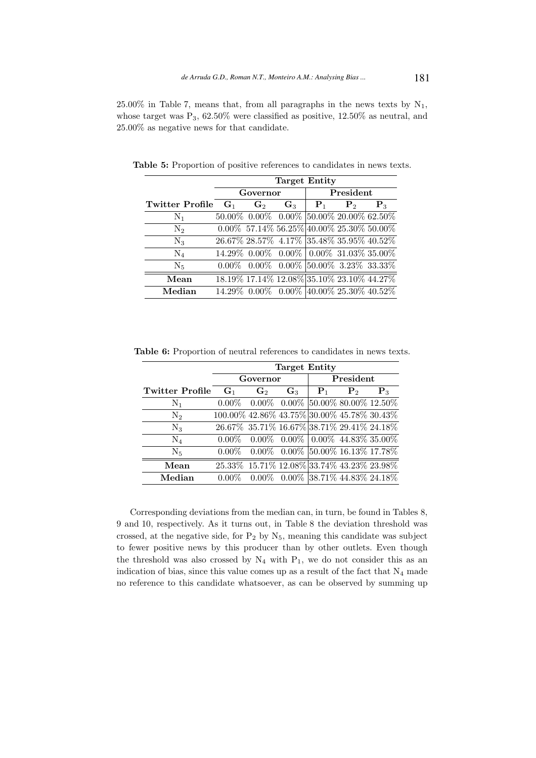25.00% in Table 7, means that, from all paragraphs in the news texts by  $N_1$ , whose target was  $P_3$ , 62.50% were classified as positive, 12.50% as neutral, and 25.00% as negative news for that candidate.

|                       | <b>Target Entity</b>                                           |                |             |                |                  |  |  |  |  |
|-----------------------|----------------------------------------------------------------|----------------|-------------|----------------|------------------|--|--|--|--|
|                       | Governor                                                       |                |             | President      |                  |  |  |  |  |
| Twitter Profile $G_1$ | $\mathbf{G}_2$                                                 | $\mathbf{G}_3$ | ${\bf P}_1$ | P <sub>2</sub> | $\mathbf{P}_{3}$ |  |  |  |  |
| $N_1$                 | $50.00\%$ 0.00\% 0.00\% $\left 50.00\% \right 20.00\%$ 62.50\% |                |             |                |                  |  |  |  |  |
| $N_2$                 | $0.00\%$ 57.14\% 56.25\%\end{40.00\% 25.30\% 50.00\%           |                |             |                |                  |  |  |  |  |
| $N_3$                 | 26.67% 28.57% 4.17% 35.48% 35.95% 40.52%                       |                |             |                |                  |  |  |  |  |
| $N_4$                 | $14.29\%$ 0.00% 0.00% 0.00% 31.03% 35.00%                      |                |             |                |                  |  |  |  |  |
| $N_5$                 | $0.00\%$ 0.00\% 0.00\% 50.00\% 3.23\% 33.33\%                  |                |             |                |                  |  |  |  |  |
| Mean                  | 18.19% 17.14% 12.08% 35.10% 23.10% 44.27%                      |                |             |                |                  |  |  |  |  |
| Median                | $14.29\%$ 0.00\% 0.00\% 40.00\% 25.30\% 40.52\%                |                |             |                |                  |  |  |  |  |

Table 5: Proportion of positive references to candidates in news texts.

|  |  |  |  |  | <b>Table 6:</b> Proportion of neutral references to candidates in news texts. |
|--|--|--|--|--|-------------------------------------------------------------------------------|
|--|--|--|--|--|-------------------------------------------------------------------------------|

|                        |                                            | <b>Target Entity</b>                |       |       |                                     |         |  |  |  |  |  |
|------------------------|--------------------------------------------|-------------------------------------|-------|-------|-------------------------------------|---------|--|--|--|--|--|
|                        |                                            | Governor                            |       |       | President                           |         |  |  |  |  |  |
| <b>Twitter Profile</b> | $G_1$                                      | $\mathbf{G}_2$                      | $G_3$ | $P_1$ | P <sub>2</sub>                      | $P_{3}$ |  |  |  |  |  |
| $N_1$                  | $0.00\%$                                   | $0.00\%$ 0.00% 50.00% 80.00% 12.50% |       |       |                                     |         |  |  |  |  |  |
| $\mathrm{N}_2$         | 100.00% 42.86% 43.75% 30.00% 45.78% 30.43% |                                     |       |       |                                     |         |  |  |  |  |  |
| $\rm N_3$              | 26.67% 35.71% 16.67% 38.71% 29.41% 24.18%  |                                     |       |       |                                     |         |  |  |  |  |  |
| $\rm N_4$              | $0.00\%$                                   |                                     |       |       | $0.00\%$ 0.00% 0.00% 44.83% 35.00%  |         |  |  |  |  |  |
| N <sub>5</sub>         | $0.00\%$                                   |                                     |       |       | $0.00\%$ 0.00% 50.00% 16.13% 17.78% |         |  |  |  |  |  |
| Mean                   | 25.33% 15.71% 12.08% 33.74% 43.23% 23.98%  |                                     |       |       |                                     |         |  |  |  |  |  |
| Median                 |                                            |                                     |       |       | $0.00\%$ 0.00% 38.71% 44.83% 24.18% |         |  |  |  |  |  |

Corresponding deviations from the median can, in turn, be found in Tables 8, 9 and 10, respectively. As it turns out, in Table 8 the deviation threshold was crossed, at the negative side, for  $P_2$  by  $N_5$ , meaning this candidate was subject to fewer positive news by this producer than by other outlets. Even though the threshold was also crossed by  $N_4$  with  $P_1$ , we do not consider this as an indication of bias, since this value comes up as a result of the fact that  $N_4$  made no reference to this candidate whatsoever, as can be observed by summing up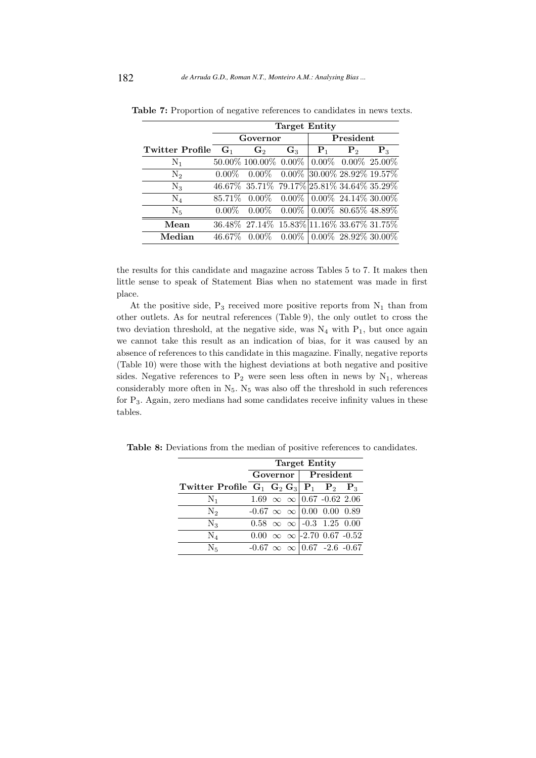|                 |          | <b>Target Entity</b>                                        |                                     |       |                |                |  |  |  |  |
|-----------------|----------|-------------------------------------------------------------|-------------------------------------|-------|----------------|----------------|--|--|--|--|
|                 |          | Governor                                                    |                                     |       | President      |                |  |  |  |  |
| Twitter Profile | $G_1$    | G <sub>2</sub>                                              | $\mathbf{G}_3$                      | $P_1$ | P <sub>2</sub> | $\mathbf{P}_3$ |  |  |  |  |
| $N_1$           |          | $50.00\%$ 100.00% $0.00\%$ $\mid 0.00\%$ $0.00\%$ $25.00\%$ |                                     |       |                |                |  |  |  |  |
| $\mathrm{N}_2$  | $0.00\%$ |                                                             | $0.00\%$ 0.00% 30.00% 28.92% 19.57% |       |                |                |  |  |  |  |
| $\rm N_3$       |          | 46.67% 35.71% 79.17% 25.81% 34.64% 35.29%                   |                                     |       |                |                |  |  |  |  |
| $\rm N_4$       |          | $85.71\%$ 0.00\% 0.00\% 0.00\% 24.14\% 30.00\%              |                                     |       |                |                |  |  |  |  |
| $\rm N_5$       | $0.00\%$ |                                                             | $0.00\%$ 0.00% 0.00% 80.65% 48.89%  |       |                |                |  |  |  |  |
| Mean            |          | 36.48\% 27.14\% 15.83\%\  11.16\% 33.67\% 31.75\%           |                                     |       |                |                |  |  |  |  |
| Median          | 46.67%   |                                                             | $0.00\%$ 0.00% 0.00% 28.92% 30.00%  |       |                |                |  |  |  |  |

Table 7: Proportion of negative references to candidates in news texts.

the results for this candidate and magazine across Tables 5 to 7. It makes then little sense to speak of Statement Bias when no statement was made in first place.

At the positive side,  $P_3$  received more positive reports from  $N_1$  than from other outlets. As for neutral references (Table 9), the only outlet to cross the two deviation threshold, at the negative side, was  $N_4$  with  $P_1$ , but once again we cannot take this result as an indication of bias, for it was caused by an absence of references to this candidate in this magazine. Finally, negative reports (Table 10) were those with the highest deviations at both negative and positive sides. Negative references to  $P_2$  were seen less often in news by  $N_1$ , whereas considerably more often in  $N_5$ .  $N_5$  was also off the threshold in such references for P3. Again, zero medians had some candidates receive infinity values in these tables.

|                                                     | <b>Target Entity</b> |  |  |                    |                                                     |  |  |
|-----------------------------------------------------|----------------------|--|--|--------------------|-----------------------------------------------------|--|--|
|                                                     |                      |  |  | Governor President |                                                     |  |  |
| Twitter Profile $G_1$ $G_2$ $G_3$ $P_1$ $P_2$ $P_3$ |                      |  |  |                    |                                                     |  |  |
| $N_1$                                               |                      |  |  |                    | $1.69 \; \infty \; \infty \; 0.67 \; -0.62 \; 2.06$ |  |  |
| $N_2$                                               |                      |  |  |                    | $-0.67 \infty \infty$ 0.00 0.00 0.89                |  |  |
| $\rm N_3$                                           |                      |  |  |                    | $0.58 \; \infty \; \infty \;  -0.3 \; 1.25 \; 0.00$ |  |  |
| $\rm N_4$                                           |                      |  |  |                    | $0.00 \infty \infty$ -2.70 0.67 -0.52               |  |  |
| $\rm N_5$                                           |                      |  |  |                    | $-0.67 \infty \infty$ 0.67 -2.6 -0.67               |  |  |

Table 8: Deviations from the median of positive references to candidates.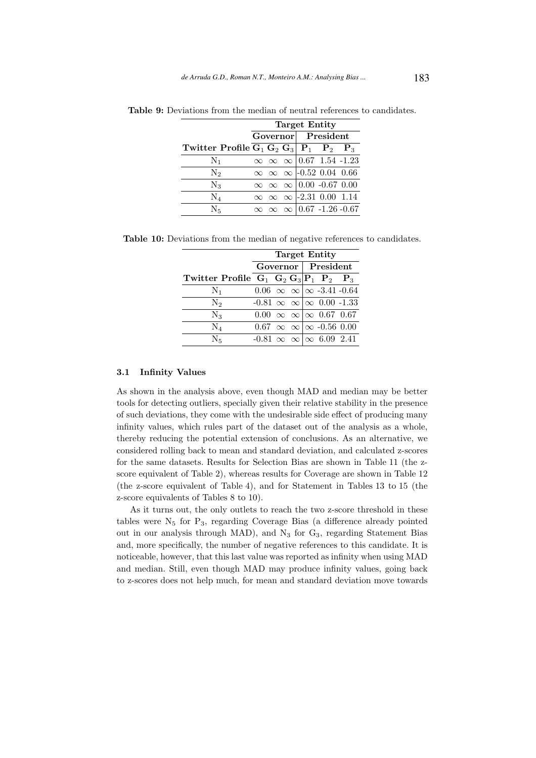|                                             | <b>Target Entity</b> |  |  |                                        |  |                                         |  |
|---------------------------------------------|----------------------|--|--|----------------------------------------|--|-----------------------------------------|--|
|                                             |                      |  |  | Governor President                     |  |                                         |  |
| Twitter Profile $G_1 G_2 G_3   P_1 P_2 P_3$ |                      |  |  |                                        |  |                                         |  |
| $N_1$                                       |                      |  |  | $\infty \infty \infty$ 0.67 1.54 -1.23 |  |                                         |  |
| N <sub>2</sub>                              |                      |  |  | $\infty \infty \infty$ -0.52 0.04 0.66 |  |                                         |  |
| $\rm N_3$                                   |                      |  |  | $\infty \infty \infty$ 0.00 -0.67 0.00 |  |                                         |  |
| $\rm N_4$                                   |                      |  |  | $\infty \infty \infty$ -2.31 0.00 1.14 |  |                                         |  |
| N <sub>5</sub>                              |                      |  |  |                                        |  | $\infty \infty \infty$ 0.67 -1.26 -0.67 |  |

Table 9: Deviations from the median of neutral references to candidates.

Table 10: Deviations from the median of negative references to candidates.

|                                                     | <b>Target Entity</b>                   |  |  |                    |                                            |                                             |  |  |
|-----------------------------------------------------|----------------------------------------|--|--|--------------------|--------------------------------------------|---------------------------------------------|--|--|
|                                                     |                                        |  |  | Governor President |                                            |                                             |  |  |
| Twitter Profile $G_1$ $G_2$ $G_3$ $P_1$ $P_2$ $P_3$ |                                        |  |  |                    |                                            |                                             |  |  |
| $\mathrm{N}_1$                                      |                                        |  |  |                    |                                            | $0.06 \propto \infty$ \cdot -3.41 -0.64     |  |  |
| $\mathrm{N}_2$                                      |                                        |  |  |                    |                                            | $-0.81 \infty \infty$   $\infty$ 0.00 -1.33 |  |  |
| $\rm N_3$                                           |                                        |  |  |                    | $0.00 \infty \infty$   $\infty$ 0.67 0.67  |                                             |  |  |
| $\rm N_4$                                           |                                        |  |  |                    | $0.67 \infty \infty$   $\infty$ -0.56 0.00 |                                             |  |  |
| $N_{\kappa}$                                        | $-0.81 \infty \infty \infty$ 6.09 2.41 |  |  |                    |                                            |                                             |  |  |

### 3.1 Infinity Values

As shown in the analysis above, even though MAD and median may be better tools for detecting outliers, specially given their relative stability in the presence of such deviations, they come with the undesirable side effect of producing many infinity values, which rules part of the dataset out of the analysis as a whole, thereby reducing the potential extension of conclusions. As an alternative, we considered rolling back to mean and standard deviation, and calculated z-scores for the same datasets. Results for Selection Bias are shown in Table 11 (the zscore equivalent of Table 2), whereas results for Coverage are shown in Table 12 (the z-score equivalent of Table 4), and for Statement in Tables 13 to 15 (the z-score equivalents of Tables 8 to 10).

As it turns out, the only outlets to reach the two z-score threshold in these tables were  $N_5$  for  $P_3$ , regarding Coverage Bias (a difference already pointed out in our analysis through MAD), and  $N_3$  for  $G_3$ , regarding Statement Bias and, more specifically, the number of negative references to this candidate. It is noticeable, however, that this last value was reported as infinity when using MAD and median. Still, even though MAD may produce infinity values, going back to z-scores does not help much, for mean and standard deviation move towards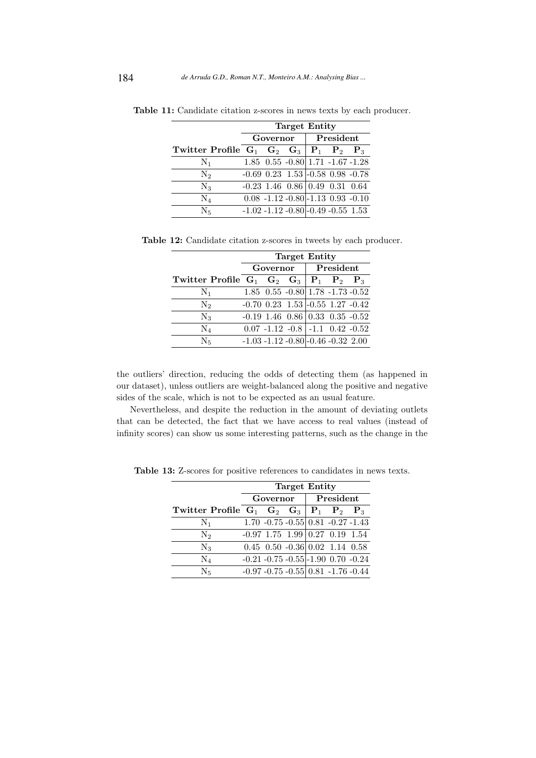|                                                       | <b>Target Entity</b> |                                              |  |           |  |  |  |
|-------------------------------------------------------|----------------------|----------------------------------------------|--|-----------|--|--|--|
|                                                       | Governor             |                                              |  | President |  |  |  |
| Twitter Profile $G_1$ $G_2$ $G_3$   $P_1$ $P_2$ $P_3$ |                      |                                              |  |           |  |  |  |
| $N_1$                                                 |                      | $1.85$ $0.55$ $-0.80$ $1.71$ $-1.67$ $-1.28$ |  |           |  |  |  |
| $\mathrm{N}_2$                                        |                      | $-0.69$ 0.23 1.53 $-0.58$ 0.98 $-0.78$       |  |           |  |  |  |
| $\rm N_3$                                             |                      | $-0.23$ 1.46 $0.86$ 0.49 0.31 0.64           |  |           |  |  |  |
| $\rm N_4$                                             |                      | $0.08 - 1.12 - 0.80 - 1.13$ 0.93 $-0.10$     |  |           |  |  |  |
| N <sub>5</sub>                                        |                      | $-1.02 - 1.12 - 0.80$ $-0.49 - 0.55$ 1.53    |  |           |  |  |  |

Table 11: Candidate citation z-scores in news texts by each producer.

Table 12: Candidate citation z-scores in tweets by each producer.

|                                                     | <b>Target Entity</b>                         |          |                                              |  |           |  |
|-----------------------------------------------------|----------------------------------------------|----------|----------------------------------------------|--|-----------|--|
|                                                     |                                              | Governor |                                              |  | President |  |
| Twitter Profile $G_1$ $G_2$ $G_3$ $P_1$ $P_2$ $P_3$ |                                              |          |                                              |  |           |  |
| $N_1$                                               |                                              |          | $1.85$ $0.55$ $-0.80$ $1.78$ $-1.73$ $-0.52$ |  |           |  |
| $\mathrm{N}_2$                                      | $-0.70$ $0.23$ $1.53$ $-0.55$ $1.27$ $-0.42$ |          |                                              |  |           |  |
| $\rm N_3$                                           | $-0.19$ 1.46 $0.86$ 0.33 0.35 $-0.52$        |          |                                              |  |           |  |
| $\rm N_4$                                           |                                              |          | $0.07 -1.12 -0.8$ $-1.1$ $0.42 -0.52$        |  |           |  |
| $\rm N_{5}$                                         | $-1.03 - 1.12 - 0.80$ - 0.46 $-0.32$ 2.00    |          |                                              |  |           |  |

the outliers' direction, reducing the odds of detecting them (as happened in our dataset), unless outliers are weight-balanced along the positive and negative sides of the scale, which is not to be expected as an usual feature.

Nevertheless, and despite the reduction in the amount of deviating outlets that can be detected, the fact that we have access to real values (instead of infinity scores) can show us some interesting patterns, such as the change in the

|                                                     | <b>Target Entity</b> |          |  |  |                                            |                                               |  |
|-----------------------------------------------------|----------------------|----------|--|--|--------------------------------------------|-----------------------------------------------|--|
|                                                     |                      | Governor |  |  | President                                  |                                               |  |
| Twitter Profile $G_1$ $G_2$ $G_3$ $P_1$ $P_2$ $P_3$ |                      |          |  |  |                                            |                                               |  |
| $N_1$                                               |                      |          |  |  | $1.70 -0.75 -0.55 \mid 0.81 -0.27 -1.43$   |                                               |  |
| $\mathrm{N}_2$                                      |                      |          |  |  | $-0.97$ 1.75 1.99 0.27 0.19 1.54           |                                               |  |
| $\rm N_3$                                           |                      |          |  |  | $0.45$ $0.50$ $-0.36$ $0.02$ $1.14$ $0.58$ |                                               |  |
| $\rm N_4$                                           |                      |          |  |  | $-0.21 - 0.75 - 0.55 - 1.90$ 0.70 $-0.24$  |                                               |  |
| $\rm N_5$                                           |                      |          |  |  |                                            | $-0.97 - 0.75 - 0.55 \mid 0.81 - 1.76 - 0.44$ |  |

Table 13: Z-scores for positive references to candidates in news texts.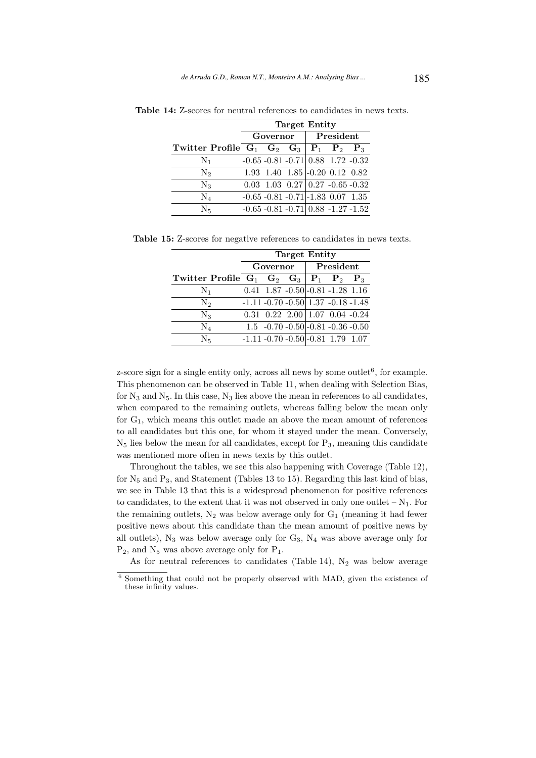|                                                       | <b>Target Entity</b> |                                                                |  |           |  |
|-------------------------------------------------------|----------------------|----------------------------------------------------------------|--|-----------|--|
|                                                       | Governor             |                                                                |  | President |  |
| Twitter Profile $G_1$ $G_2$ $G_3$   $P_1$ $P_2$ $P_3$ |                      |                                                                |  |           |  |
| $\rm N_1$                                             |                      | $-0.65 - 0.81 - 0.71 \mid 0.88$ 1.72 $-0.32$                   |  |           |  |
| $\mathrm{N}_2$                                        |                      | $1.93$ 1.40 $1.85$ -0.20 0.12 0.82                             |  |           |  |
| $\rm N_3$                                             |                      | $0.03 \quad 1.03 \quad 0.27 \mid 0.27 \quad -0.65 \quad -0.32$ |  |           |  |
| $\rm N_4$                                             |                      | $-0.65 - 0.81 - 0.71$ $-1.83$ 0.07 1.35                        |  |           |  |
| $\rm N_5$                                             |                      | $-0.65 - 0.81 - 0.71 \mid 0.88 - 1.27 - 1.52$                  |  |           |  |

Table 14: Z-scores for neutral references to candidates in news texts.

Table 15: Z-scores for negative references to candidates in news texts.

|                                                     | <b>Target Entity</b> |          |  |  |                                             |  |
|-----------------------------------------------------|----------------------|----------|--|--|---------------------------------------------|--|
|                                                     |                      | Governor |  |  | President                                   |  |
| Twitter Profile $G_1$ $G_2$ $G_3$ $P_1$ $P_2$ $P_3$ |                      |          |  |  |                                             |  |
| $N_1$                                               |                      |          |  |  | $0.41$ 1.87 - $0.50$ - $0.81$ - $1.28$ 1.16 |  |
| $\mathrm{N}_2$                                      |                      |          |  |  | $-1.11 - 0.70 - 0.50$ 1.37 $-0.18 - 1.48$   |  |
| $\rm N_3$                                           |                      |          |  |  | $0.31$ $0.22$ $2.00$ $1.07$ $0.04$ $-0.24$  |  |
| $\rm N_4$                                           |                      |          |  |  | $1.5 -0.70 -0.50$ - 0.81 - 0.36 - 0.50      |  |
| $\rm N_5$                                           |                      |          |  |  | $-1.11 - 0.70 - 0.50$ - 0.81 1.79 1.07      |  |

z-score sign for a single entity only, across all news by some outlet<sup>6</sup>, for example. This phenomenon can be observed in Table 11, when dealing with Selection Bias, for  $N_3$  and  $N_5$ . In this case,  $N_3$  lies above the mean in references to all candidates, when compared to the remaining outlets, whereas falling below the mean only for  $G_1$ , which means this outlet made an above the mean amount of references to all candidates but this one, for whom it stayed under the mean. Conversely,  $N_5$  lies below the mean for all candidates, except for  $P_3$ , meaning this candidate was mentioned more often in news texts by this outlet.

Throughout the tables, we see this also happening with Coverage (Table 12), for  $N_5$  and  $P_3$ , and Statement (Tables 13 to 15). Regarding this last kind of bias, we see in Table 13 that this is a widespread phenomenon for positive references to candidates, to the extent that it was not observed in only one outlet  $-N_1$ . For the remaining outlets,  $N_2$  was below average only for  $G_1$  (meaning it had fewer positive news about this candidate than the mean amount of positive news by all outlets),  $N_3$  was below average only for  $G_3$ ,  $N_4$  was above average only for  $P_2$ , and  $N_5$  was above average only for  $P_1$ .

As for neutral references to candidates (Table 14),  $N_2$  was below average

<sup>6</sup> Something that could not be properly observed with MAD, given the existence of these infinity values.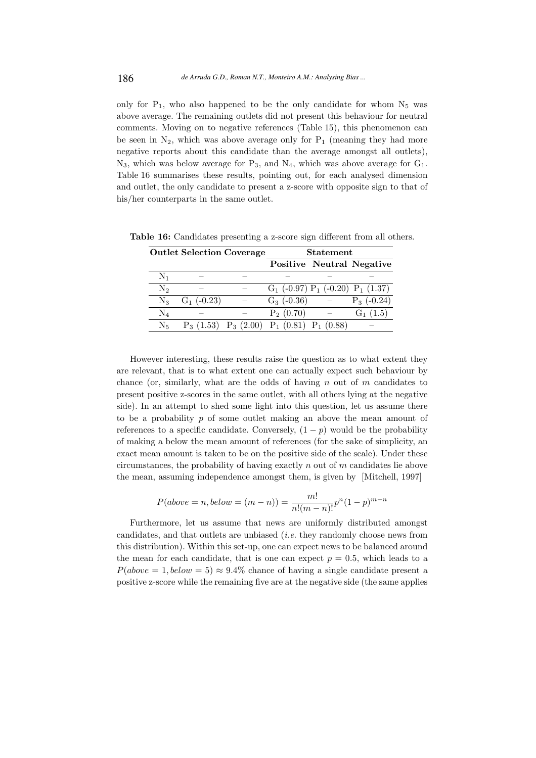only for  $P_1$ , who also happened to be the only candidate for whom  $N_5$  was above average. The remaining outlets did not present this behaviour for neutral comments. Moving on to negative references (Table 15), this phenomenon can be seen in  $N_2$ , which was above average only for  $P_1$  (meaning they had more negative reports about this candidate than the average amongst all outlets),  $N_3$ , which was below average for  $P_3$ , and  $N_4$ , which was above average for  $G_1$ . Table 16 summarises these results, pointing out, for each analysed dimension and outlet, the only candidate to present a z-score with opposite sign to that of his/her counterparts in the same outlet.

|                | <b>Outlet Selection Coverage</b>                |                          | <b>Statement</b>                         |                          |                                  |  |
|----------------|-------------------------------------------------|--------------------------|------------------------------------------|--------------------------|----------------------------------|--|
|                |                                                 |                          |                                          |                          | <b>Positive Neutral Negative</b> |  |
| $\rm N_1$      |                                                 |                          |                                          |                          |                                  |  |
| $\mathrm{N}_2$ |                                                 |                          | $G_1$ (-0.97) $P_1$ (-0.20) $P_1$ (1.37) |                          |                                  |  |
| $\rm N_3$      | $G_1$ (-0.23)                                   | $\overline{\phantom{a}}$ | $G_3$ (-0.36)                            |                          | $P_3$ (-0.24)                    |  |
| $\rm N_4$      |                                                 |                          | $P_2(0.70)$                              | $\overline{\phantom{a}}$ | $G_1(1.5)$                       |  |
| $\rm N_{5}$    | $P_3(1.53)$ $P_3(2.00)$ $P_1(0.81)$ $P_1(0.88)$ |                          |                                          |                          |                                  |  |

Table 16: Candidates presenting a z-score sign different from all others.

However interesting, these results raise the question as to what extent they are relevant, that is to what extent one can actually expect such behaviour by chance (or, similarly, what are the odds of having  $n$  out of  $m$  candidates to present positive z-scores in the same outlet, with all others lying at the negative side). In an attempt to shed some light into this question, let us assume there to be a probability  $p$  of some outlet making an above the mean amount of references to a specific candidate. Conversely,  $(1 - p)$  would be the probability of making a below the mean amount of references (for the sake of simplicity, an exact mean amount is taken to be on the positive side of the scale). Under these circumstances, the probability of having exactly  $n$  out of  $m$  candidates lie above the mean, assuming independence amongst them, is given by [Mitchell, 1997]

$$
P(above = n, below = (m - n)) = \frac{m!}{n!(m - n)!}p^{n}(1 - p)^{m - n}
$$

Furthermore, let us assume that news are uniformly distributed amongst candidates, and that outlets are unbiased (i.e. they randomly choose news from this distribution). Within this set-up, one can expect news to be balanced around the mean for each candidate, that is one can expect  $p = 0.5$ , which leads to a  $P(above = 1, below = 5) \approx 9.4\%$  chance of having a single candidate present a positive z-score while the remaining five are at the negative side (the same applies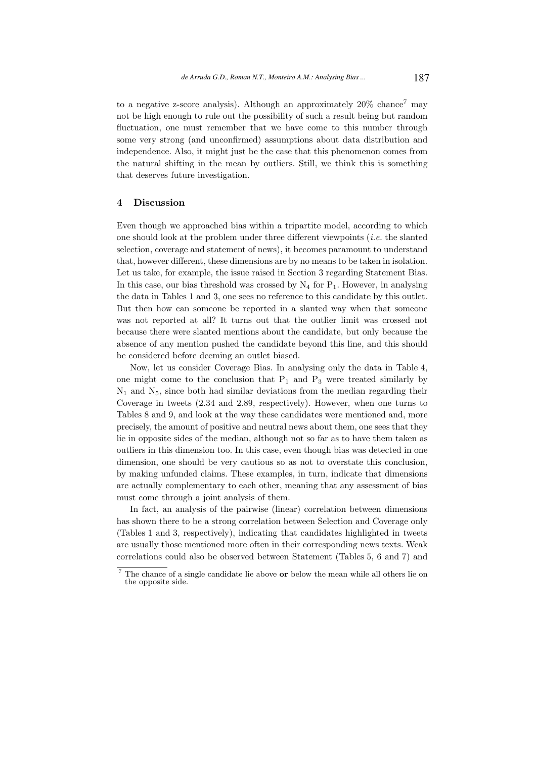to a negative z-score analysis). Although an approximately  $20\%$  chance<sup>7</sup> may not be high enough to rule out the possibility of such a result being but random fluctuation, one must remember that we have come to this number through some very strong (and unconfirmed) assumptions about data distribution and independence. Also, it might just be the case that this phenomenon comes from the natural shifting in the mean by outliers. Still, we think this is something that deserves future investigation.

### 4 Discussion

Even though we approached bias within a tripartite model, according to which one should look at the problem under three different viewpoints  $(i.e.$  the slanted selection, coverage and statement of news), it becomes paramount to understand that, however different, these dimensions are by no means to be taken in isolation. Let us take, for example, the issue raised in Section 3 regarding Statement Bias. In this case, our bias threshold was crossed by  $N_4$  for  $P_1$ . However, in analysing the data in Tables 1 and 3, one sees no reference to this candidate by this outlet. But then how can someone be reported in a slanted way when that someone was not reported at all? It turns out that the outlier limit was crossed not because there were slanted mentions about the candidate, but only because the absence of any mention pushed the candidate beyond this line, and this should be considered before deeming an outlet biased.

Now, let us consider Coverage Bias. In analysing only the data in Table 4, one might come to the conclusion that  $P_1$  and  $P_3$  were treated similarly by  $N_1$  and  $N_5$ , since both had similar deviations from the median regarding their Coverage in tweets (2.34 and 2.89, respectively). However, when one turns to Tables 8 and 9, and look at the way these candidates were mentioned and, more precisely, the amount of positive and neutral news about them, one sees that they lie in opposite sides of the median, although not so far as to have them taken as outliers in this dimension too. In this case, even though bias was detected in one dimension, one should be very cautious so as not to overstate this conclusion, by making unfunded claims. These examples, in turn, indicate that dimensions are actually complementary to each other, meaning that any assessment of bias must come through a joint analysis of them.

In fact, an analysis of the pairwise (linear) correlation between dimensions has shown there to be a strong correlation between Selection and Coverage only (Tables 1 and 3, respectively), indicating that candidates highlighted in tweets are usually those mentioned more often in their corresponding news texts. Weak correlations could also be observed between Statement (Tables 5, 6 and 7) and

The chance of a single candidate lie above **or** below the mean while all others lie on the opposite side.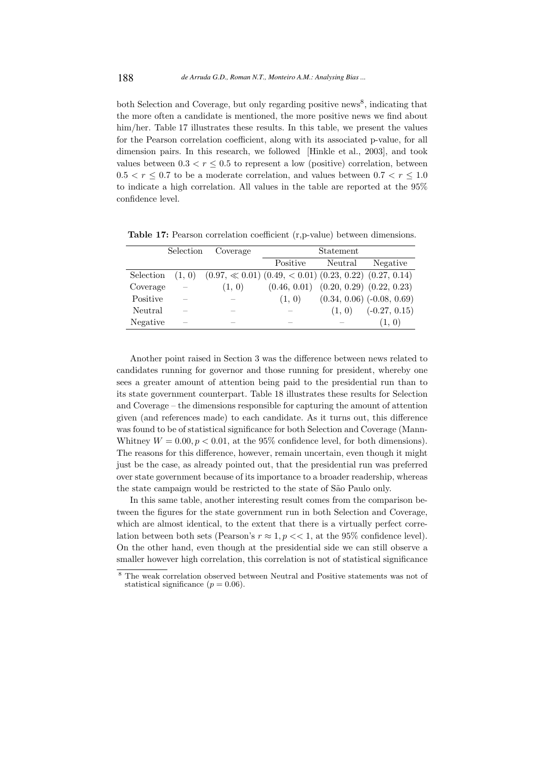both Selection and Coverage, but only regarding positive news<sup>8</sup>, indicating that the more often a candidate is mentioned, the more positive news we find about him/her. Table 17 illustrates these results. In this table, we present the values for the Pearson correlation coefficient, along with its associated p-value, for all dimension pairs. In this research, we followed [Hinkle et al., 2003], and took values between  $0.3 < r < 0.5$  to represent a low (positive) correlation, between  $0.5 < r \leq 0.7$  to be a moderate correlation, and values between  $0.7 < r \leq 1.0$ to indicate a high correlation. All values in the table are reported at the 95% confidence level.

|           | Selection                | Coverage                                                            | Statement                |         |                                |
|-----------|--------------------------|---------------------------------------------------------------------|--------------------------|---------|--------------------------------|
|           |                          |                                                                     | Positive                 | Neutral | Negative                       |
| Selection | (1, 0)                   | $(0.97, \ll 0.01)$ $(0.49, \lt 0.01)$ $(0.23, 0.22)$ $(0.27, 0.14)$ |                          |         |                                |
| Coverage  | $\overline{\phantom{0}}$ | (1, 0)                                                              | (0.46, 0.01)             |         | $(0.20, 0.29)$ $(0.22, 0.23)$  |
| Positive  | $\sim$                   | $\overline{\phantom{a}}$                                            | (1, 0)                   |         | $(0.34, 0.06)$ $(-0.08, 0.69)$ |
| Neutral   | -                        | $\overline{\phantom{a}}$                                            |                          | (1, 0)  | $(-0.27, 0.15)$                |
| Negative  | $\overline{\phantom{a}}$ | $\overline{\phantom{a}}$                                            | $\overline{\phantom{a}}$ |         | (1, 0)                         |

Table 17: Pearson correlation coefficient (r, p-value) between dimensions.

Another point raised in Section 3 was the difference between news related to candidates running for governor and those running for president, whereby one sees a greater amount of attention being paid to the presidential run than to its state government counterpart. Table 18 illustrates these results for Selection and Coverage – the dimensions responsible for capturing the amount of attention given (and references made) to each candidate. As it turns out, this difference was found to be of statistical significance for both Selection and Coverage (Mann-Whitney  $W = 0.00, p < 0.01$ , at the 95% confidence level, for both dimensions). The reasons for this difference, however, remain uncertain, even though it might just be the case, as already pointed out, that the presidential run was preferred over state government because of its importance to a broader readership, whereas the state campaign would be restricted to the state of São Paulo only.

In this same table, another interesting result comes from the comparison between the figures for the state government run in both Selection and Coverage, which are almost identical, to the extent that there is a virtually perfect correlation between both sets (Pearson's  $r \approx 1, p \ll 1$ , at the 95% confidence level). On the other hand, even though at the presidential side we can still observe a smaller however high correlation, this correlation is not of statistical significance

<sup>8</sup> The weak correlation observed between Neutral and Positive statements was not of statistical significance  $(p = 0.06)$ .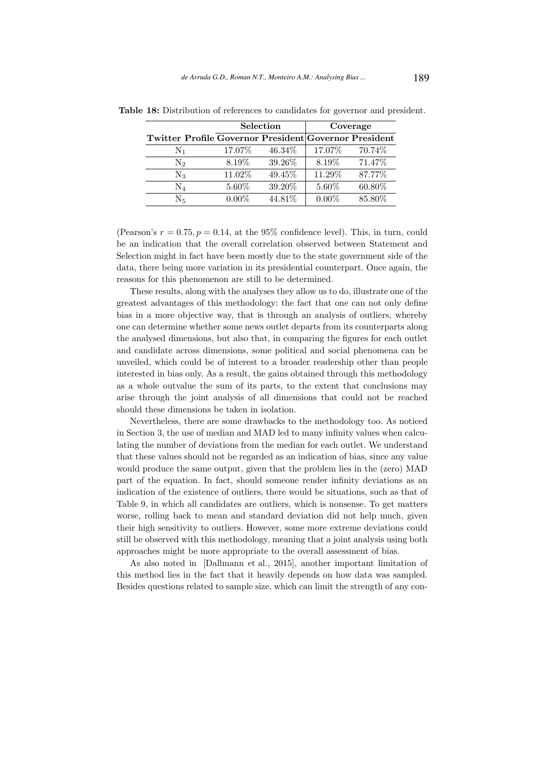|                                                       | <b>Selection</b> |         |          | Coverage |
|-------------------------------------------------------|------------------|---------|----------|----------|
| Twitter Profile Governor President Governor President |                  |         |          |          |
| $\rm N_1$                                             | 17.07%           | 46.34\% | 17.07\%  | 70.74\%  |
| $\mathrm{N}_2$                                        | 8.19\%           | 39.26%  | 8.19%    | 71.47%   |
| $\rm N_3$                                             | 11.02%           | 49.45%  | 11.29%   | 87.77%   |
| $\rm N_4$                                             | 5.60%            | 39.20%  | 5.60%    | 60.80%   |
| Νĸ                                                    | $0.00\%$         | 44.81%  | $0.00\%$ | 85.80%   |

Table 18: Distribution of references to candidates for governor and president.

(Pearson's  $r = 0.75$ ,  $p = 0.14$ , at the 95% confidence level). This, in turn, could be an indication that the overall correlation observed between Statement and Selection might in fact have been mostly due to the state government side of the data, there being more variation in its presidential counterpart. Once again, the reasons for this phenomenon are still to be determined.

These results, along with the analyses they allow us to do, illustrate one of the greatest advantages of this methodology: the fact that one can not only define bias in a more objective way, that is through an analysis of outliers, whereby one can determine whether some news outlet departs from its counterparts along the analysed dimensions, but also that, in comparing the figures for each outlet and candidate across dimensions, some political and social phenomena can be unveiled, which could be of interest to a broader readership other than people interested in bias only. As a result, the gains obtained through this methodology as a whole outvalue the sum of its parts, to the extent that conclusions may arise through the joint analysis of all dimensions that could not be reached should these dimensions be taken in isolation.

Nevertheless, there are some drawbacks to the methodology too. As noticed in Section 3, the use of median and MAD led to many infinity values when calculating the number of deviations from the median for each outlet. We understand that these values should not be regarded as an indication of bias, since any value would produce the same output, given that the problem lies in the (zero) MAD part of the equation. In fact, should someone render infinity deviations as an indication of the existence of outliers, there would be situations, such as that of Table 9, in which all candidates are outliers, which is nonsense. To get matters worse, rolling back to mean and standard deviation did not help much, given their high sensitivity to outliers. However, some more extreme deviations could still be observed with this methodology, meaning that a joint analysis using both approaches might be more appropriate to the overall assessment of bias.

As also noted in [Dallmann et al., 2015], another important limitation of this method lies in the fact that it heavily depends on how data was sampled. Besides questions related to sample size, which can limit the strength of any con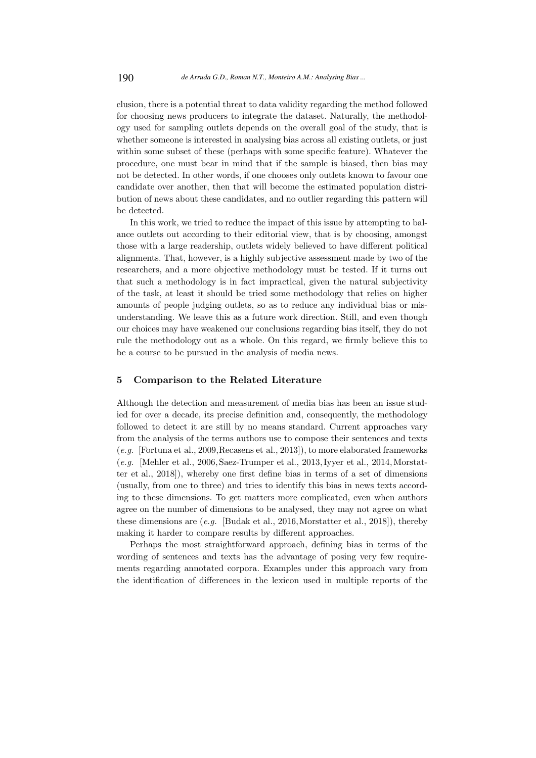clusion, there is a potential threat to data validity regarding the method followed for choosing news producers to integrate the dataset. Naturally, the methodology used for sampling outlets depends on the overall goal of the study, that is whether someone is interested in analysing bias across all existing outlets, or just within some subset of these (perhaps with some specific feature). Whatever the procedure, one must bear in mind that if the sample is biased, then bias may not be detected. In other words, if one chooses only outlets known to favour one candidate over another, then that will become the estimated population distribution of news about these candidates, and no outlier regarding this pattern will be detected.

In this work, we tried to reduce the impact of this issue by attempting to balance outlets out according to their editorial view, that is by choosing, amongst those with a large readership, outlets widely believed to have different political alignments. That, however, is a highly subjective assessment made by two of the researchers, and a more objective methodology must be tested. If it turns out that such a methodology is in fact impractical, given the natural subjectivity of the task, at least it should be tried some methodology that relies on higher amounts of people judging outlets, so as to reduce any individual bias or misunderstanding. We leave this as a future work direction. Still, and even though our choices may have weakened our conclusions regarding bias itself, they do not rule the methodology out as a whole. On this regard, we firmly believe this to be a course to be pursued in the analysis of media news.

#### 5 Comparison to the Related Literature

Although the detection and measurement of media bias has been an issue studied for over a decade, its precise definition and, consequently, the methodology followed to detect it are still by no means standard. Current approaches vary from the analysis of the terms authors use to compose their sentences and texts (e.g. [Fortuna et al., 2009,Recasens et al., 2013]), to more elaborated frameworks  $(e.g.$  [Mehler et al., 2006, Saez-Trumper et al., 2013, Iyyer et al., 2014, Morstatter et al., 2018]), whereby one first define bias in terms of a set of dimensions (usually, from one to three) and tries to identify this bias in news texts according to these dimensions. To get matters more complicated, even when authors agree on the number of dimensions to be analysed, they may not agree on what these dimensions are  $(e.g.$  [Budak et al., 2016, Morstatter et al., 2018]), thereby making it harder to compare results by different approaches.

Perhaps the most straightforward approach, defining bias in terms of the wording of sentences and texts has the advantage of posing very few requirements regarding annotated corpora. Examples under this approach vary from the identification of differences in the lexicon used in multiple reports of the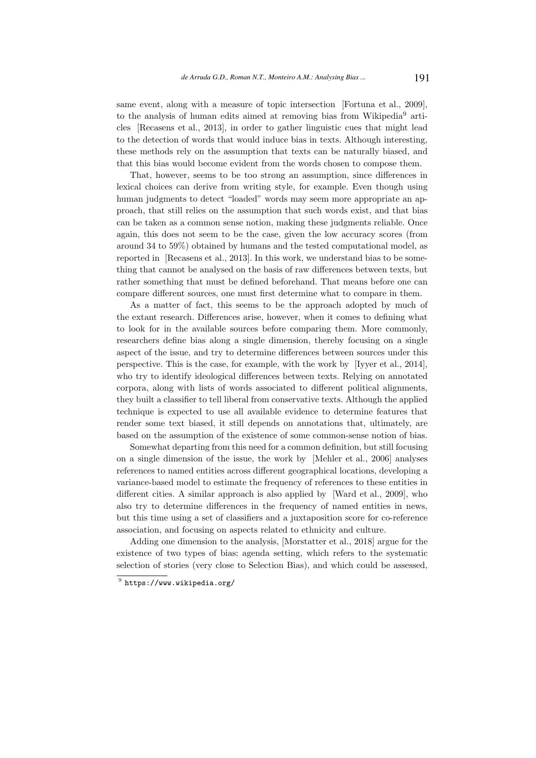same event, along with a measure of topic intersection [Fortuna et al., 2009], to the analysis of human edits aimed at removing bias from Wikipedia<sup>9</sup> articles [Recasens et al., 2013], in order to gather linguistic cues that might lead to the detection of words that would induce bias in texts. Although interesting, these methods rely on the assumption that texts can be naturally biased, and that this bias would become evident from the words chosen to compose them.

That, however, seems to be too strong an assumption, since differences in lexical choices can derive from writing style, for example. Even though using human judgments to detect "loaded" words may seem more appropriate an approach, that still relies on the assumption that such words exist, and that bias can be taken as a common sense notion, making these judgments reliable. Once again, this does not seem to be the case, given the low accuracy scores (from around 34 to 59%) obtained by humans and the tested computational model, as reported in [Recasens et al., 2013]. In this work, we understand bias to be something that cannot be analysed on the basis of raw differences between texts, but rather something that must be defined beforehand. That means before one can compare different sources, one must first determine what to compare in them.

As a matter of fact, this seems to be the approach adopted by much of the extant research. Differences arise, however, when it comes to defining what to look for in the available sources before comparing them. More commonly, researchers define bias along a single dimension, thereby focusing on a single aspect of the issue, and try to determine differences between sources under this perspective. This is the case, for example, with the work by [Iyyer et al., 2014], who try to identify ideological differences between texts. Relying on annotated corpora, along with lists of words associated to different political alignments, they built a classifier to tell liberal from conservative texts. Although the applied technique is expected to use all available evidence to determine features that render some text biased, it still depends on annotations that, ultimately, are based on the assumption of the existence of some common-sense notion of bias.

Somewhat departing from this need for a common definition, but still focusing on a single dimension of the issue, the work by [Mehler et al., 2006] analyses references to named entities across different geographical locations, developing a variance-based model to estimate the frequency of references to these entities in different cities. A similar approach is also applied by [Ward et al., 2009], who also try to determine differences in the frequency of named entities in news, but this time using a set of classifiers and a juxtaposition score for co-reference association, and focusing on aspects related to ethnicity and culture.

Adding one dimension to the analysis, [Morstatter et al., 2018] argue for the existence of two types of bias: agenda setting, which refers to the systematic selection of stories (very close to Selection Bias), and which could be assessed,

 $^9$  https://www.wikipedia.org/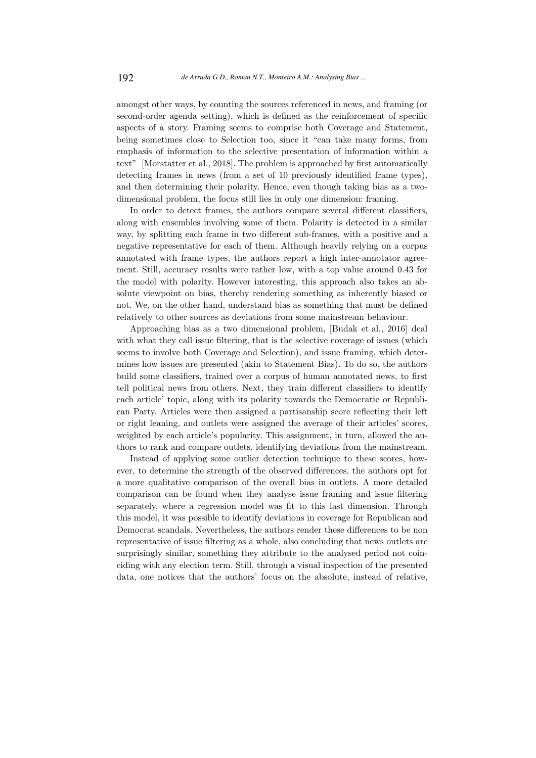amongst other ways, by counting the sources referenced in news, and framing (or second-order agenda setting), which is defined as the reinforcement of specific aspects of a story. Framing seems to comprise both Coverage and Statement, being sometimes close to Selection too, since it "can take many forms, from emphasis of information to the selective presentation of information within a text" [Morstatter et al., 2018]. The problem is approached by first automatically detecting frames in news (from a set of 10 previously identified frame types), and then determining their polarity. Hence, even though taking bias as a twodimensional problem, the focus still lies in only one dimension: framing.

In order to detect frames, the authors compare several different classifiers, along with ensembles involving some of them. Polarity is detected in a similar way, by splitting each frame in two different sub-frames, with a positive and a negative representative for each of them. Although heavily relying on a corpus annotated with frame types, the authors report a high inter-annotator agreement. Still, accuracy results were rather low, with a top value around 0.43 for the model with polarity. However interesting, this approach also takes an absolute viewpoint on bias, thereby rendering something as inherently biased or not. We, on the other hand, understand bias as something that must be defined relatively to other sources as deviations from some mainstream behaviour.

Approaching bias as a two dimensional problem, [Budak et al., 2016] deal with what they call issue filtering, that is the selective coverage of issues (which seems to involve both Coverage and Selection), and issue framing, which determines how issues are presented (akin to Statement Bias). To do so, the authors build some classifiers, trained over a corpus of human annotated news, to first tell political news from others. Next, they train different classifiers to identify each article' topic, along with its polarity towards the Democratic or Republican Party. Articles were then assigned a partisanship score reflecting their left or right leaning, and outlets were assigned the average of their articles' scores, weighted by each article's popularity. This assignment, in turn, allowed the authors to rank and compare outlets, identifying deviations from the mainstream.

Instead of applying some outlier detection technique to these scores, however, to determine the strength of the observed differences, the authors opt for a more qualitative comparison of the overall bias in outlets. A more detailed comparison can be found when they analyse issue framing and issue filtering separately, where a regression model was fit to this last dimension. Through this model, it was possible to identify deviations in coverage for Republican and Democrat scandals. Nevertheless, the authors render these differences to be non representative of issue filtering as a whole, also concluding that news outlets are surprisingly similar, something they attribute to the analysed period not coinciding with any election term. Still, through a visual inspection of the presented data, one notices that the authors' focus on the absolute, instead of relative,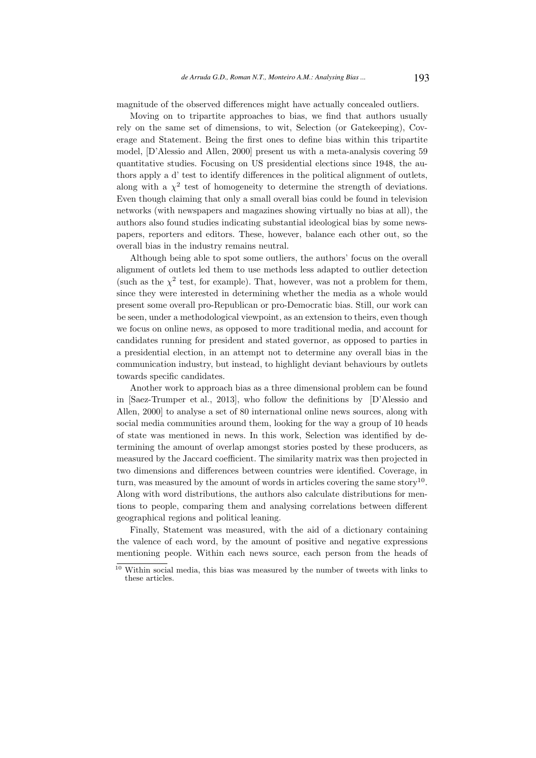magnitude of the observed differences might have actually concealed outliers.

Moving on to tripartite approaches to bias, we find that authors usually rely on the same set of dimensions, to wit, Selection (or Gatekeeping), Coverage and Statement. Being the first ones to define bias within this tripartite model, [D'Alessio and Allen, 2000] present us with a meta-analysis covering 59 quantitative studies. Focusing on US presidential elections since 1948, the authors apply a d' test to identify differences in the political alignment of outlets, along with a  $\chi^2$  test of homogeneity to determine the strength of deviations. Even though claiming that only a small overall bias could be found in television networks (with newspapers and magazines showing virtually no bias at all), the authors also found studies indicating substantial ideological bias by some newspapers, reporters and editors. These, however, balance each other out, so the overall bias in the industry remains neutral.

Although being able to spot some outliers, the authors' focus on the overall alignment of outlets led them to use methods less adapted to outlier detection (such as the  $\chi^2$  test, for example). That, however, was not a problem for them, since they were interested in determining whether the media as a whole would present some overall pro-Republican or pro-Democratic bias. Still, our work can be seen, under a methodological viewpoint, as an extension to theirs, even though we focus on online news, as opposed to more traditional media, and account for candidates running for president and stated governor, as opposed to parties in a presidential election, in an attempt not to determine any overall bias in the communication industry, but instead, to highlight deviant behaviours by outlets towards specific candidates.

Another work to approach bias as a three dimensional problem can be found in [Saez-Trumper et al., 2013], who follow the definitions by [D'Alessio and Allen, 2000] to analyse a set of 80 international online news sources, along with social media communities around them, looking for the way a group of 10 heads of state was mentioned in news. In this work, Selection was identified by determining the amount of overlap amongst stories posted by these producers, as measured by the Jaccard coefficient. The similarity matrix was then projected in two dimensions and differences between countries were identified. Coverage, in turn, was measured by the amount of words in articles covering the same story<sup>10</sup>. Along with word distributions, the authors also calculate distributions for mentions to people, comparing them and analysing correlations between different geographical regions and political leaning.

Finally, Statement was measured, with the aid of a dictionary containing the valence of each word, by the amount of positive and negative expressions mentioning people. Within each news source, each person from the heads of

 $\frac{10}{10}$  Within social media, this bias was measured by the number of tweets with links to these articles.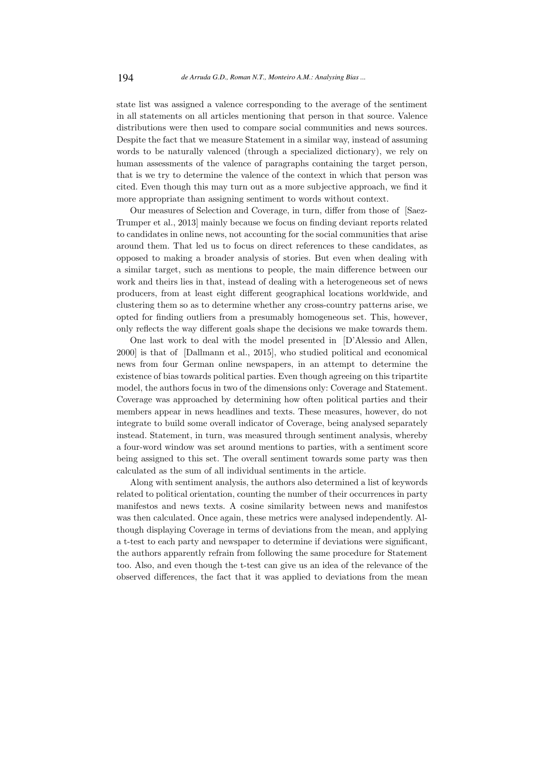state list was assigned a valence corresponding to the average of the sentiment in all statements on all articles mentioning that person in that source. Valence distributions were then used to compare social communities and news sources. Despite the fact that we measure Statement in a similar way, instead of assuming words to be naturally valenced (through a specialized dictionary), we rely on human assessments of the valence of paragraphs containing the target person, that is we try to determine the valence of the context in which that person was cited. Even though this may turn out as a more subjective approach, we find it more appropriate than assigning sentiment to words without context.

Our measures of Selection and Coverage, in turn, differ from those of [Saez-Trumper et al., 2013] mainly because we focus on finding deviant reports related to candidates in online news, not accounting for the social communities that arise around them. That led us to focus on direct references to these candidates, as opposed to making a broader analysis of stories. But even when dealing with a similar target, such as mentions to people, the main difference between our work and theirs lies in that, instead of dealing with a heterogeneous set of news producers, from at least eight different geographical locations worldwide, and clustering them so as to determine whether any cross-country patterns arise, we opted for finding outliers from a presumably homogeneous set. This, however, only reflects the way different goals shape the decisions we make towards them.

One last work to deal with the model presented in [D'Alessio and Allen, 2000] is that of [Dallmann et al., 2015], who studied political and economical news from four German online newspapers, in an attempt to determine the existence of bias towards political parties. Even though agreeing on this tripartite model, the authors focus in two of the dimensions only: Coverage and Statement. Coverage was approached by determining how often political parties and their members appear in news headlines and texts. These measures, however, do not integrate to build some overall indicator of Coverage, being analysed separately instead. Statement, in turn, was measured through sentiment analysis, whereby a four-word window was set around mentions to parties, with a sentiment score being assigned to this set. The overall sentiment towards some party was then calculated as the sum of all individual sentiments in the article.

Along with sentiment analysis, the authors also determined a list of keywords related to political orientation, counting the number of their occurrences in party manifestos and news texts. A cosine similarity between news and manifestos was then calculated. Once again, these metrics were analysed independently. Although displaying Coverage in terms of deviations from the mean, and applying a t-test to each party and newspaper to determine if deviations were significant, the authors apparently refrain from following the same procedure for Statement too. Also, and even though the t-test can give us an idea of the relevance of the observed differences, the fact that it was applied to deviations from the mean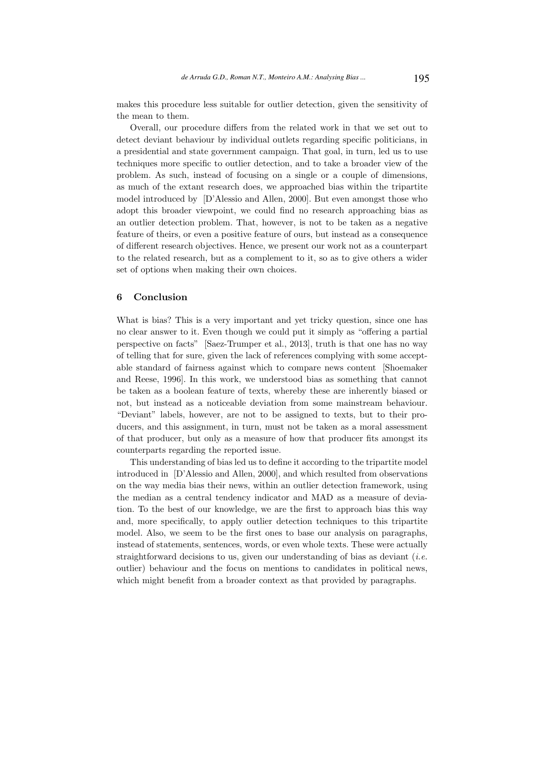makes this procedure less suitable for outlier detection, given the sensitivity of the mean to them.

Overall, our procedure differs from the related work in that we set out to detect deviant behaviour by individual outlets regarding specific politicians, in a presidential and state government campaign. That goal, in turn, led us to use techniques more specific to outlier detection, and to take a broader view of the problem. As such, instead of focusing on a single or a couple of dimensions, as much of the extant research does, we approached bias within the tripartite model introduced by [D'Alessio and Allen, 2000]. But even amongst those who adopt this broader viewpoint, we could find no research approaching bias as an outlier detection problem. That, however, is not to be taken as a negative feature of theirs, or even a positive feature of ours, but instead as a consequence of different research objectives. Hence, we present our work not as a counterpart to the related research, but as a complement to it, so as to give others a wider set of options when making their own choices.

#### 6 Conclusion

What is bias? This is a very important and yet tricky question, since one has no clear answer to it. Even though we could put it simply as "offering a partial perspective on facts" [Saez-Trumper et al., 2013], truth is that one has no way of telling that for sure, given the lack of references complying with some acceptable standard of fairness against which to compare news content [Shoemaker and Reese, 1996]. In this work, we understood bias as something that cannot be taken as a boolean feature of texts, whereby these are inherently biased or not, but instead as a noticeable deviation from some mainstream behaviour. "Deviant" labels, however, are not to be assigned to texts, but to their producers, and this assignment, in turn, must not be taken as a moral assessment of that producer, but only as a measure of how that producer fits amongst its counterparts regarding the reported issue.

This understanding of bias led us to define it according to the tripartite model introduced in [D'Alessio and Allen, 2000], and which resulted from observations on the way media bias their news, within an outlier detection framework, using the median as a central tendency indicator and MAD as a measure of deviation. To the best of our knowledge, we are the first to approach bias this way and, more specifically, to apply outlier detection techniques to this tripartite model. Also, we seem to be the first ones to base our analysis on paragraphs, instead of statements, sentences, words, or even whole texts. These were actually straightforward decisions to us, given our understanding of bias as deviant  $(i.e.$ outlier) behaviour and the focus on mentions to candidates in political news, which might benefit from a broader context as that provided by paragraphs.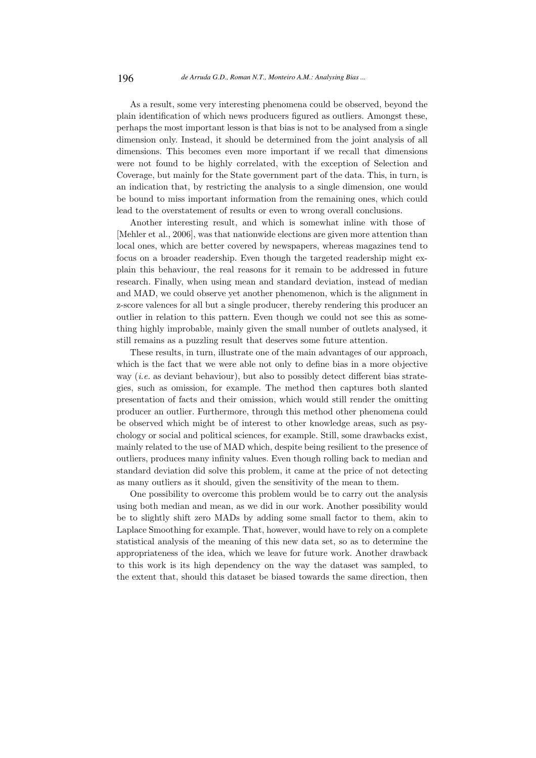As a result, some very interesting phenomena could be observed, beyond the plain identification of which news producers figured as outliers. Amongst these, perhaps the most important lesson is that bias is not to be analysed from a single dimension only. Instead, it should be determined from the joint analysis of all dimensions. This becomes even more important if we recall that dimensions were not found to be highly correlated, with the exception of Selection and Coverage, but mainly for the State government part of the data. This, in turn, is an indication that, by restricting the analysis to a single dimension, one would be bound to miss important information from the remaining ones, which could lead to the overstatement of results or even to wrong overall conclusions.

Another interesting result, and which is somewhat inline with those of [Mehler et al., 2006], was that nationwide elections are given more attention than local ones, which are better covered by newspapers, whereas magazines tend to focus on a broader readership. Even though the targeted readership might explain this behaviour, the real reasons for it remain to be addressed in future research. Finally, when using mean and standard deviation, instead of median and MAD, we could observe yet another phenomenon, which is the alignment in z-score valences for all but a single producer, thereby rendering this producer an outlier in relation to this pattern. Even though we could not see this as something highly improbable, mainly given the small number of outlets analysed, it still remains as a puzzling result that deserves some future attention.

These results, in turn, illustrate one of the main advantages of our approach, which is the fact that we were able not only to define bias in a more objective way *(i.e.* as deviant behaviour), but also to possibly detect different bias strategies, such as omission, for example. The method then captures both slanted presentation of facts and their omission, which would still render the omitting producer an outlier. Furthermore, through this method other phenomena could be observed which might be of interest to other knowledge areas, such as psychology or social and political sciences, for example. Still, some drawbacks exist, mainly related to the use of MAD which, despite being resilient to the presence of outliers, produces many infinity values. Even though rolling back to median and standard deviation did solve this problem, it came at the price of not detecting as many outliers as it should, given the sensitivity of the mean to them.

One possibility to overcome this problem would be to carry out the analysis using both median and mean, as we did in our work. Another possibility would be to slightly shift zero MADs by adding some small factor to them, akin to Laplace Smoothing for example. That, however, would have to rely on a complete statistical analysis of the meaning of this new data set, so as to determine the appropriateness of the idea, which we leave for future work. Another drawback to this work is its high dependency on the way the dataset was sampled, to the extent that, should this dataset be biased towards the same direction, then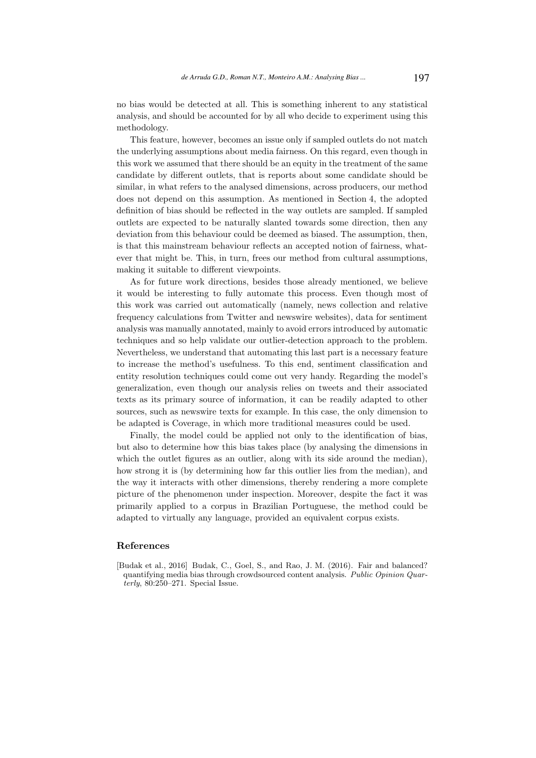no bias would be detected at all. This is something inherent to any statistical analysis, and should be accounted for by all who decide to experiment using this methodology.

This feature, however, becomes an issue only if sampled outlets do not match the underlying assumptions about media fairness. On this regard, even though in this work we assumed that there should be an equity in the treatment of the same candidate by different outlets, that is reports about some candidate should be similar, in what refers to the analysed dimensions, across producers, our method does not depend on this assumption. As mentioned in Section 4, the adopted definition of bias should be reflected in the way outlets are sampled. If sampled outlets are expected to be naturally slanted towards some direction, then any deviation from this behaviour could be deemed as biased. The assumption, then, is that this mainstream behaviour reflects an accepted notion of fairness, whatever that might be. This, in turn, frees our method from cultural assumptions, making it suitable to different viewpoints.

As for future work directions, besides those already mentioned, we believe it would be interesting to fully automate this process. Even though most of this work was carried out automatically (namely, news collection and relative frequency calculations from Twitter and newswire websites), data for sentiment analysis was manually annotated, mainly to avoid errors introduced by automatic techniques and so help validate our outlier-detection approach to the problem. Nevertheless, we understand that automating this last part is a necessary feature to increase the method's usefulness. To this end, sentiment classification and entity resolution techniques could come out very handy. Regarding the model's generalization, even though our analysis relies on tweets and their associated texts as its primary source of information, it can be readily adapted to other sources, such as newswire texts for example. In this case, the only dimension to be adapted is Coverage, in which more traditional measures could be used.

Finally, the model could be applied not only to the identification of bias, but also to determine how this bias takes place (by analysing the dimensions in which the outlet figures as an outlier, along with its side around the median), how strong it is (by determining how far this outlier lies from the median), and the way it interacts with other dimensions, thereby rendering a more complete picture of the phenomenon under inspection. Moreover, despite the fact it was primarily applied to a corpus in Brazilian Portuguese, the method could be adapted to virtually any language, provided an equivalent corpus exists.

### References

[Budak et al., 2016] Budak, C., Goel, S., and Rao, J. M. (2016). Fair and balanced? quantifying media bias through crowdsourced content analysis. Public Opinion Quarterly, 80:250–271. Special Issue.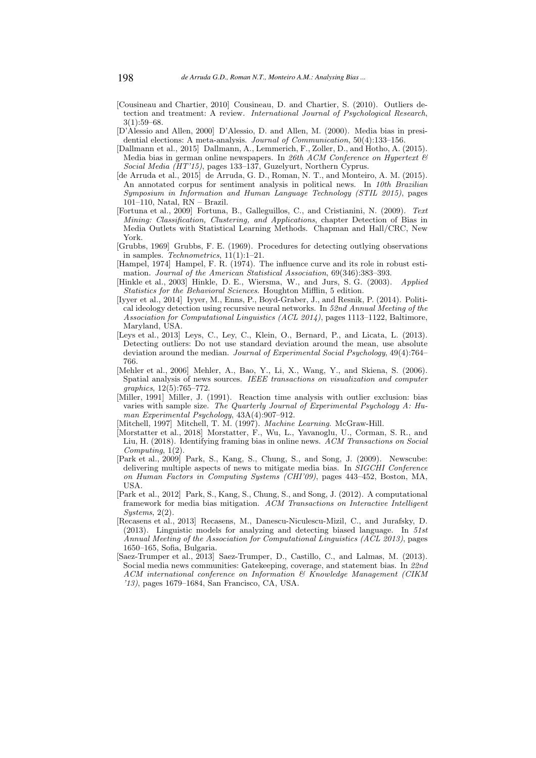- [Cousineau and Chartier, 2010] Cousineau, D. and Chartier, S. (2010). Outliers detection and treatment: A review. International Journal of Psychological Research, 3(1):59–68.
- [D'Alessio and Allen, 2000] D'Alessio, D. and Allen, M. (2000). Media bias in presidential elections: A meta-analysis. Journal of Communication, 50(4):133–156.
- [Dallmann et al., 2015] Dallmann, A., Lemmerich, F., Zoller, D., and Hotho, A. (2015). Media bias in german online newspapers. In 26th ACM Conference on Hypertext  $\mathcal{B}$ Social Media (HT'15), pages 133–137, Guzelyurt, Northern Cyprus.
- [de Arruda et al., 2015] de Arruda, G. D., Roman, N. T., and Monteiro, A. M. (2015). An annotated corpus for sentiment analysis in political news. In 10th Brazilian Symposium in Information and Human Language Technology (STIL 2015), pages 101–110, Natal, RN – Brazil.
- [Fortuna et al., 2009] Fortuna, B., Galleguillos, C., and Cristianini, N. (2009). Text Mining: Classification, Clustering, and Applications, chapter Detection of Bias in Media Outlets with Statistical Learning Methods. Chapman and Hall/CRC, New York.
- [Grubbs, 1969] Grubbs, F. E. (1969). Procedures for detecting outlying observations in samples. Technometrics,  $11(1):1-21$ .
- [Hampel, 1974] Hampel, F. R. (1974). The influence curve and its role in robust estimation. Journal of the American Statistical Association, 69(346):383–393.
- [Hinkle et al., 2003] Hinkle, D. E., Wiersma, W., and Jurs, S. G. (2003). Applied Statistics for the Behavioral Sciences. Houghton Mifflin, 5 edition.
- [Iyyer et al., 2014] Iyyer, M., Enns, P., Boyd-Graber, J., and Resnik, P. (2014). Political ideology detection using recursive neural networks. In 52nd Annual Meeting of the Association for Computational Linguistics (ACL 2014), pages 1113–1122, Baltimore, Maryland, USA.
- [Leys et al., 2013] Leys, C., Ley, C., Klein, O., Bernard, P., and Licata, L. (2013). Detecting outliers: Do not use standard deviation around the mean, use absolute deviation around the median. Journal of Experimental Social Psychology, 49(4):764– 766.
- [Mehler et al., 2006] Mehler, A., Bao, Y., Li, X., Wang, Y., and Skiena, S. (2006). Spatial analysis of news sources. IEEE transactions on visualization and computer graphics, 12(5):765–772.
- [Miller, 1991] Miller, J. (1991). Reaction time analysis with outlier exclusion: bias varies with sample size. The Quarterly Journal of Experimental Psychology A: Human Experimental Psychology, 43A(4):907–912.
- [Mitchell, 1997] Mitchell, T. M. (1997). *Machine Learning*. McGraw-Hill.
- [Morstatter et al., 2018] Morstatter, F., Wu, L., Yavanoglu, U., Corman, S. R., and Liu, H. (2018). Identifying framing bias in online news. ACM Transactions on Social  $Computing, 1(2)$ .
- [Park et al., 2009] Park, S., Kang, S., Chung, S., and Song, J. (2009). Newscube: delivering multiple aspects of news to mitigate media bias. In SIGCHI Conference on Human Factors in Computing Systems (CHI'09), pages 443–452, Boston, MA, USA.
- [Park et al., 2012] Park, S., Kang, S., Chung, S., and Song, J. (2012). A computational framework for media bias mitigation. ACM Transactions on Interactive Intelligent Systems, 2(2).
- [Recasens et al., 2013] Recasens, M., Danescu-Niculescu-Mizil, C., and Jurafsky, D. (2013). Linguistic models for analyzing and detecting biased language. In  $51st$ Annual Meeting of the Association for Computational Linguistics  $(ACL 2013)$ , pages 1650–165, Sofia, Bulgaria.
- [Saez-Trumper et al., 2013] Saez-Trumper, D., Castillo, C., and Lalmas, M. (2013). Social media news communities: Gatekeeping, coverage, and statement bias. In 22nd ACM international conference on Information & Knowledge Management (CIKM '13), pages 1679–1684, San Francisco, CA, USA.